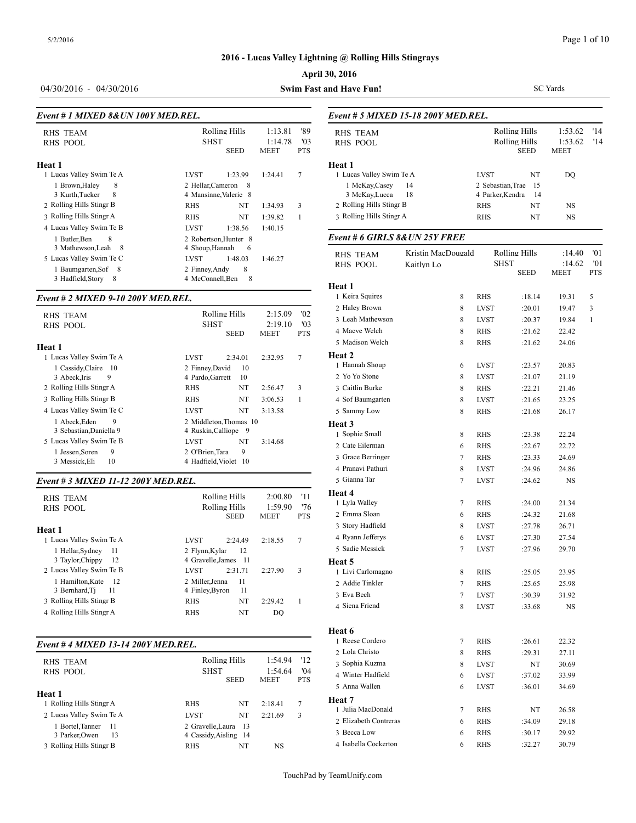## **April 30, 2016**

#### *Event # 1 MIXED 8&UN 100Y MED.REL.*

| <b>RHS TEAM</b><br><b>RHS POOL</b>                                          |                                                  | Rolling Hills<br><b>SHST</b><br>SEED |         | '89<br>'03<br><b>PTS</b> | <b>RHS TEAM</b><br><b>RHS POOL</b> |
|-----------------------------------------------------------------------------|--------------------------------------------------|--------------------------------------|---------|--------------------------|------------------------------------|
| Heat 1                                                                      |                                                  |                                      |         |                          | <b>Heat 1</b>                      |
| 1 Lucas Valley Swim Te A                                                    | <b>LVST</b>                                      | 1:23.99                              | 1:24.41 | 7                        | 1 Lucas Valley Sw                  |
| 8<br>1 Brown.Halev<br>8<br>3 Kurth, Tucker                                  | 2 Hellar, Cameron                                | - 8<br>4 Mansinne, Valerie 8         |         |                          | 1 McKay, Case<br>3 McKay, Lucc     |
| 2 Rolling Hills Stingr B                                                    | <b>RHS</b>                                       | NT                                   | 1:34.93 | 3                        | 2 Rolling Hills Sti                |
| 3 Rolling Hills Stingr A                                                    | <b>RHS</b>                                       | NT                                   | 1:39.82 | 1                        | 3 Rolling Hills Sti                |
| 4 Lucas Valley Swim Te B                                                    | LVST                                             | 1:38.56                              | 1:40.15 |                          |                                    |
| 1 Butler, Ben<br>8                                                          |                                                  | 2 Robertson.Hunter 8                 |         |                          | Event # 6 GIRL                     |
| 3 Mathewson, Leah<br>- 8<br>5 Lucas Valley Swim Te C<br>1 Baumgarten, Sof 8 | 4 Shoup, Hannah<br><b>LVST</b><br>2 Finney, Andy | 6<br>1:48.03<br>8                    | 1:46.27 |                          | <b>RHS TEAM</b><br><b>RHS POOL</b> |
| 3 Hadfield, Story<br>8                                                      | 4 McConnell, Ben                                 | 8                                    |         |                          | Hoot 1                             |

#### *Event # 2 MIXED 9-10 200Y MED.REL.*

| <b>RHS TEAM</b><br>RHS POOL                                               | Rolling Hills<br><b>SHST</b><br><b>SEED</b>                        | 2:15.09<br>2:19.10<br><b>MEET</b> | '02<br>'03<br><b>PTS</b> | $\angle$ rate brown<br>3 Leah Mathewso:<br>4 Maeve Welch<br>5 Madison Welch |
|---------------------------------------------------------------------------|--------------------------------------------------------------------|-----------------------------------|--------------------------|-----------------------------------------------------------------------------|
| Heat 1<br>1 Lucas Valley Swim Te A                                        | <b>LVST</b><br>2:34.01                                             | 2:32.95                           | 7                        | <b>Heat 2</b><br>1 Hannah Shoup                                             |
| 1 Cassidy, Claire 10<br>3 Abeck, Iris<br>9                                | 2 Finney, David<br>10<br>4 Pardo, Garrett<br>10                    |                                   |                          | 2 Yo Yo Stone                                                               |
| 2 Rolling Hills Stingr A                                                  | NT<br>RHS                                                          | 2:56.47                           | 3                        | 3 Caitlin Burke                                                             |
| 3 Rolling Hills Stingr B                                                  | NT<br><b>RHS</b>                                                   | 3:06.53                           |                          | 4 Sof Baumgarten                                                            |
| 4 Lucas Valley Swim Te C                                                  | NT<br>LVST                                                         | 3:13.58                           |                          | 5 Sammy Low                                                                 |
| 9<br>1 Abeck, Eden<br>3 Sebastian, Daniella 9<br>5 Lucas Valley Swim Te B | 2 Middleton.Thomas 10<br>4 Ruskin, Calliope 9<br>NT<br><b>LVST</b> | 3:14.68                           |                          | Heat 3<br>1 Sophie Small<br>2 Cate Eilerman                                 |
| 9<br>1 Jessen, Soren                                                      | 9<br>2 O'Brien.Tara                                                |                                   |                          | 3 Grace Berringer                                                           |
| 10<br>3 Messick, Eli                                                      | 4 Hadfield, Violet 10                                              |                                   |                          |                                                                             |

#### *Event # 3 MIXED 11-12 200Y MED.REL.*

| RHS TEAM<br>RHS POOL     | Rolling Hills<br>2:00.80<br>1:59.90<br>Rolling Hills |         |             | '11<br>'76     | Heat 4<br>1 Lyla Walley |
|--------------------------|------------------------------------------------------|---------|-------------|----------------|-------------------------|
|                          | <b>SEED</b>                                          |         | <b>MEET</b> | <b>PTS</b>     | 2 Emma Sloan            |
| Heat 1                   |                                                      |         |             |                | 3 Story Hadfield        |
| 1 Lucas Valley Swim Te A | <b>LVST</b>                                          | 2:24.49 | 2:18.55     | $\overline{7}$ | 4 Ryann Jefferys        |
| 1 Hellar, Sydney<br>-11  | 2 Flynn, Kylar                                       | 12      |             |                | 5 Sadie Messick         |
| 3 Taylor, Chippy<br>-12  | 4 Gravelle.James 11                                  |         |             |                | Heat 5                  |
| 2 Lucas Valley Swim Te B | <b>LVST</b>                                          | 2:31.71 | 2:27.90     | 3              | 1 Livi Carlomagne       |
| 1 Hamilton, Kate<br>- 12 | 2 Miller, Jenna                                      | 11      |             |                | 2 Addie Tinkler         |
| 3 Bernhard, Ti<br>11     | 4 Finley, Byron                                      | 11      |             |                | 3 Eva Bech              |
| 3 Rolling Hills Stingr B | <b>RHS</b>                                           | NT      | 2:29.42     |                | 4 Siena Friend          |
| 4 Rolling Hills Stingr A | <b>RHS</b>                                           | NT      | DO.         |                |                         |

#### *Event # 4 MIXED 13-14 200Y MED.REL.*

| Heat 7<br>1 Rolling Hills Stingr A<br>NT<br>2:18.41<br>7<br><b>RHS</b><br>1 Julia MacDonal<br>2 Lucas Valley Swim Te A<br>NT<br><b>LVST</b><br>2:21.69<br>3<br>2 Gravelle.Laura 13<br>1 Bortel.Tanner<br>- 11<br>3 Becca Low<br>4 Cassidy, Aisling 14<br>3 Parker.Owen<br>13<br>4 Isabella Cockert<br>3 Rolling Hills Stingr B<br>NT<br>NS<br><b>RHS</b> | <b>RHS TEAM</b><br>RHS POOL | <b>SHST</b> | Rolling Hills<br><b>SEED</b> |  |  | 2 Lola Christo<br>3 Sophia Kuzma<br>4 Winter Hadfield<br>5 Anna Wallen |
|----------------------------------------------------------------------------------------------------------------------------------------------------------------------------------------------------------------------------------------------------------------------------------------------------------------------------------------------------------|-----------------------------|-------------|------------------------------|--|--|------------------------------------------------------------------------|
|                                                                                                                                                                                                                                                                                                                                                          | Heat 1                      |             |                              |  |  |                                                                        |
|                                                                                                                                                                                                                                                                                                                                                          |                             |             |                              |  |  |                                                                        |
|                                                                                                                                                                                                                                                                                                                                                          |                             |             |                              |  |  |                                                                        |
|                                                                                                                                                                                                                                                                                                                                                          |                             |             |                              |  |  | 2 Elizabeth Contre                                                     |
|                                                                                                                                                                                                                                                                                                                                                          |                             |             |                              |  |  |                                                                        |
|                                                                                                                                                                                                                                                                                                                                                          |                             |             |                              |  |  |                                                                        |
|                                                                                                                                                                                                                                                                                                                                                          |                             |             |                              |  |  |                                                                        |

#### 04/30/2016 - 04/30/2016 **Swim Fast and Have Fun!**

| <b>RHS TEAM</b>                            |                                |                                | Rolling Hills                | 1:53.62         | '14        |
|--------------------------------------------|--------------------------------|--------------------------------|------------------------------|-----------------|------------|
| <b>RHS POOL</b>                            |                                |                                | Rolling Hills<br><b>SEED</b> | 1:53.62<br>MEET | '14        |
| Heat 1                                     |                                |                                |                              |                 |            |
| 1 Lucas Valley Swim Te A                   |                                | <b>LVST</b>                    | NT                           | DO              |            |
| 1 McKay, Casey                             | 14                             | 2 Sebastian, Trae              | 15                           |                 |            |
| 3 McKay, Lucca<br>2 Rolling Hills Stingr B | 18                             | 4 Parker, Kendra<br><b>RHS</b> | 14<br>NT                     | NS              |            |
| 3 Rolling Hills Stingr A                   |                                | <b>RHS</b>                     | NT                           | NS              |            |
|                                            | Event # 6 GIRLS 8& UN 25Y FREE |                                |                              |                 |            |
| <b>RHS TEAM</b>                            | Kristin MacDougald             |                                | Rolling Hills                | :14.40          | 01         |
| <b>RHS POOL</b>                            | Kaitlyn Lo                     |                                | <b>SHST</b>                  | :14.62          | '01        |
|                                            |                                |                                | <b>SEED</b>                  | MEET            | <b>PTS</b> |
| <b>Heat 1</b>                              |                                |                                |                              |                 |            |
| 1 Keira Squires                            | 8                              | <b>RHS</b>                     | :18.14                       | 19.31           | 5          |
| 2 Haley Brown                              | 8                              | <b>LVST</b>                    | :20.01                       | 19.47           | 3          |
| 3 Leah Mathewson                           | 8                              | <b>LVST</b>                    | :20.37                       | 19.84           | 1          |
| 4 Maeve Welch                              | 8                              | <b>RHS</b>                     | :21.62                       | 22.42           |            |
| 5 Madison Welch                            | 8                              | <b>RHS</b>                     | :21.62                       | 24.06           |            |
| Heat 2<br>1 Hannah Shoup                   |                                |                                |                              |                 |            |
| 2 Yo Yo Stone                              | 6                              | <b>LVST</b>                    | :23.57                       | 20.83           |            |
| 3 Caitlin Burke                            | 8<br>8                         | <b>LVST</b><br><b>RHS</b>      | :21.07<br>:22.21             | 21.19<br>21.46  |            |
| 4 Sof Baumgarten                           | 8                              | <b>LVST</b>                    | :21.65                       | 23.25           |            |
| 5 Sammy Low                                | 8                              | <b>RHS</b>                     | :21.68                       | 26.17           |            |
| Heat 3                                     |                                |                                |                              |                 |            |
| 1 Sophie Small                             | 8                              | <b>RHS</b>                     | :23.38                       | 22.24           |            |
| 2 Cate Eilerman                            | 6                              | <b>RHS</b>                     | :22.67                       | 22.72           |            |
| 3 Grace Berringer                          | 7                              | <b>RHS</b>                     | : 23.33                      | 24.69           |            |
| 4 Pranavi Pathuri                          | 8                              | <b>LVST</b>                    | :24.96                       | 24.86           |            |
| 5 Gianna Tar                               | 7                              | <b>LVST</b>                    | :24.62                       | NS              |            |
| Heat 4                                     |                                |                                |                              |                 |            |
| 1 Lyla Walley                              | 7                              | <b>RHS</b>                     | :24.00                       | 21.34           |            |
| 2 Emma Sloan                               | 6                              | <b>RHS</b>                     | :24.32                       | 21.68           |            |
| 3 Story Hadfield                           | 8                              | <b>LVST</b>                    | :27.78                       | 26.71           |            |
| 4 Ryann Jefferys                           | 6                              | <b>LVST</b>                    | :27.30                       | 27.54           |            |
| 5 Sadie Messick                            | 7                              | <b>LVST</b>                    | :27.96                       | 29.70           |            |
| Heat 5                                     |                                |                                |                              |                 |            |
| 1 Livi Carlomagno                          | 8                              | RHS                            | :25.05                       | 23.95           |            |
| 2 Addie Tinkler                            | 7                              | RHS                            | :25.65                       | 25.98           |            |
| 3 Eva Bech                                 | 7                              | LVST                           | :30.39                       | 31.92           |            |
| 4 Siena Friend                             | 8                              | LVST                           | :33.68                       | NS              |            |
| Heat 6                                     |                                |                                |                              |                 |            |
| 1 Reese Cordero                            | 7                              | RHS                            | :26.61                       | 22.32           |            |
| 2 Lola Christo                             | 8                              | RHS                            | :29.31                       | 27.11           |            |
| 3 Sophia Kuzma                             | 8                              | LVST                           | NT                           | 30.69           |            |
| 4 Winter Hadfield                          | 6                              | LVST                           | :37.02                       | 33.99           |            |
| 5 Anna Wallen                              | 6                              | <b>LVST</b>                    | :36.01                       | 34.69           |            |
| Heat 7<br>1 Julia MacDonald                |                                |                                |                              |                 |            |
| 2 Elizabeth Contreras                      | 7                              | RHS                            | NT                           | 26.58           |            |
| 3 Becca Low                                | 6                              | RHS                            | :34.09                       | 29.18           |            |
|                                            | 6                              | RHS                            | :30.17                       | 29.92           |            |
| 4 Isabella Cockerton                       | 6                              | <b>RHS</b>                     | :32.27                       | 30.79           |            |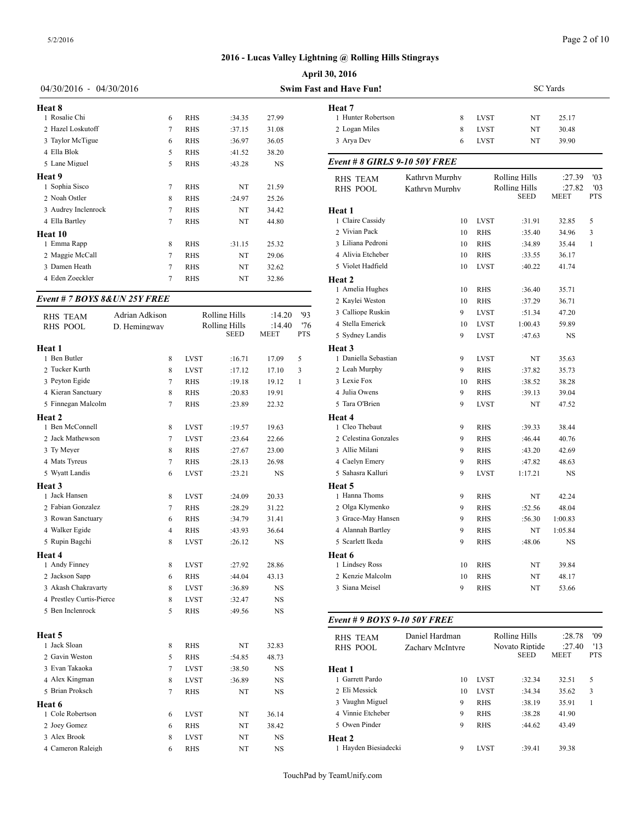| 04/30/2016 - 04/30/2016       |                |            | <b>Swim Fast and Have Fun!</b> |               |                             |                      |  |
|-------------------------------|----------------|------------|--------------------------------|---------------|-----------------------------|----------------------|--|
| Heat 8                        |                |            |                                |               | Heat 7                      |                      |  |
| 1 Rosalie Chi                 | 6              | <b>RHS</b> | :34.35                         | 27.99         | 1 Hunter Robertson          |                      |  |
| 2 Hazel Loskutoff             | 7              | <b>RHS</b> | :37.15                         | 31.08         | 2 Logan Miles               |                      |  |
| 3 Taylor McTigue              | 6              | <b>RHS</b> | :36.97                         | 36.05         | 3 Arya Dev                  |                      |  |
| 4 Ella Blok                   | 5              | <b>RHS</b> | :41.52                         | 38.20         |                             |                      |  |
| 5 Lane Miguel                 | 5              | <b>RHS</b> | :43.28                         | <b>NS</b>     | Event # 8 GIRLS 9-10 50Y F. |                      |  |
| Heat 9                        |                |            |                                |               | <b>RHS TEAM</b>             | Kathryn M            |  |
| 1 Sophia Sisco                | 7              | <b>RHS</b> | NT                             | 21.59         | <b>RHS POOL</b>             | Kathryn <sub>M</sub> |  |
| 2 Noah Ostler                 | 8              | <b>RHS</b> | :24.97                         | 25.26         |                             |                      |  |
| 3 Audrey Inclenrock           | 7              | <b>RHS</b> | NT                             | 34.42         | Heat 1                      |                      |  |
| 4 Ella Bartley                | 7              | <b>RHS</b> | NT                             | 44.80         | 1 Claire Cassidy            |                      |  |
| Heat 10                       |                |            |                                |               | 2 Vivian Pack               |                      |  |
| 1 Emma Rapp                   | 8              | <b>RHS</b> | :31.15                         | 25.32         | 3 Liliana Pedroni           |                      |  |
| 2 Maggie McCall               | 7              | <b>RHS</b> | NT                             | 29.06         | 4 Alivia Etcheber           |                      |  |
| 3 Damen Heath                 | 7              | <b>RHS</b> | NT                             | 32.62         | 5 Violet Hadfield           |                      |  |
| 4 Eden Zoeckler               | 7              | <b>RHS</b> | NT                             | 32.86         | Heat 2                      |                      |  |
|                               |                |            |                                |               | 1 Amelia Hughes             |                      |  |
| Event # 7 BOYS 8& UN 25Y FREE |                |            |                                |               | 2 Kaylei Weston             |                      |  |
| <b>RHS TEAM</b>               | Adrian Adkison |            | Rolling Hills                  | '93<br>:14.20 | 3 Calliope Ruskin           |                      |  |
|                               |                |            |                                |               |                             |                      |  |

| <b>RHS TEAM</b>          | Adrian Adkison |             | <b>Rolling Hills</b> | :14.20    | '93          | 3 Calliope Ruskin  |
|--------------------------|----------------|-------------|----------------------|-----------|--------------|--------------------|
| <b>RHS POOL</b>          | D. Hemingway   |             | Rolling Hills        | :14.40    | '76          | 4 Stella Emerick   |
|                          |                |             | SEED                 | MEET      | PTS          | 5 Sydney Landis    |
| Heat 1                   |                |             |                      |           |              | Heat 3             |
| 1 Ben Butler             | 8              | <b>LVST</b> | :16.71               | 17.09     | 5            | 1 Daniella Sebasti |
| 2 Tucker Kurth           | 8              | <b>LVST</b> | :17.12               | 17.10     | 3            | 2 Leah Murphy      |
| 3 Peyton Egide           | $\tau$         | <b>RHS</b>  | :19.18               | 19.12     | $\mathbf{1}$ | 3 Lexie Fox        |
| 4 Kieran Sanctuary       | 8              | <b>RHS</b>  | :20.83               | 19.91     |              | 4 Julia Owens      |
| 5 Finnegan Malcolm       | $\tau$         | <b>RHS</b>  | :23.89               | 22.32     |              | 5 Tara O'Brien     |
| Heat 2                   |                |             |                      |           |              | Heat 4             |
| 1 Ben McConnell          | 8              | <b>LVST</b> | :19.57               | 19.63     |              | 1 Cleo Thebaut     |
| 2 Jack Mathewson         | 7              | <b>LVST</b> | :23.64               | 22.66     |              | 2 Celestina Gonza  |
| 3 Ty Meyer               | 8              | <b>RHS</b>  | :27.67               | 23.00     |              | 3 Allie Milani     |
| 4 Mats Tyreus            | 7              | <b>RHS</b>  | :28.13               | 26.98     |              | 4 Caelyn Emery     |
| 5 Wyatt Landis           | 6              | <b>LVST</b> | :23.21               | <b>NS</b> |              | 5 Sahasra Kalluri  |
| Heat 3                   |                |             |                      |           |              | Heat 5             |
| 1 Jack Hansen            | 8              | <b>LVST</b> | :24.09               | 20.33     |              | 1 Hanna Thoms      |
| 2 Fabian Gonzalez        | 7              | <b>RHS</b>  | :28.29               | 31.22     |              | 2 Olga Klymenko    |
| 3 Rowan Sanctuary        | 6              | <b>RHS</b>  | :34.79               | 31.41     |              | 3 Grace-May Han    |
| 4 Walker Egide           | 4              | <b>RHS</b>  | :43.93               | 36.64     |              | 4 Alannah Bartley  |
| 5 Rupin Bagchi           | 8              | <b>LVST</b> | :26.12               | <b>NS</b> |              | 5 Scarlett Ikeda   |
| Heat 4                   |                |             |                      |           |              | Heat 6             |
| 1 Andy Finney            | 8              | <b>LVST</b> | :27.92               | 28.86     |              | 1 Lindsey Ross     |
| 2 Jackson Sapp           | 6              | <b>RHS</b>  | :44.04               | 43.13     |              | 2 Kenzie Malcolm   |
| 3 Akash Chakravarty      | 8              | <b>LVST</b> | :36.89               | NS        |              | 3 Siana Meisel     |
| 4 Prestley Curtis-Pierce | 8              | <b>LVST</b> | :32.47               | NS        |              |                    |
| 5 Ben Inclenrock         | 5              | <b>RHS</b>  | :49.56               | NS        |              |                    |
|                          |                |             |                      |           |              | Event # 9 BOYS     |
| Heat 5                   |                |             |                      |           |              | <b>RHS TEAM</b>    |
| 1 Jack Sloan             | 8              | <b>RHS</b>  | NT                   | 32.83     |              | <b>RHS POOL</b>    |
| 2 Gavin Weston           | 5              | <b>RHS</b>  | :54.85               | 48.73     |              |                    |
| 3 Evan Takaoka           | $\tau$         | <b>LVST</b> | :38.50               | NS        |              | Heat 1             |
| 4 Alex Kingman           | 8              | <b>LVST</b> | :36.89               | NS        |              | 1 Garrett Pardo    |
| 5 Brian Proksch          | $\tau$         | <b>RHS</b>  | NT                   | NS        |              | 2 Eli Messick      |
| Heat 6                   |                |             |                      |           |              | 3 Vaughn Miguel    |
| 1 Cole Robertson         | 6              | <b>LVST</b> | NT                   | 36.14     |              | 4 Vinnie Etcheber  |
| 2 Joey Gomez             | 6              | RHS         | NT                   | 38.42     |              | 5 Owen Pinder      |
| 3 Alex Brook             | 8              | <b>LVST</b> | NT                   | <b>NS</b> |              | Heat 2             |
| 4 Cameron Raleigh        | 6              | <b>RHS</b>  | NT                   | NS        |              | 1 Hayden Biesiade  |
|                          |                |             |                      |           |              |                    |

| n Fast and Have Fun!                 |                |                            |                              | SC Yards       |            |
|--------------------------------------|----------------|----------------------------|------------------------------|----------------|------------|
| Heat 7                               |                |                            |                              |                |            |
| 1 Hunter Robertson<br>2 Logan Miles  | 8              | <b>LVST</b>                | NT                           | 25.17          |            |
| 3 Arya Dev                           | 8<br>6         | <b>LVST</b><br><b>LVST</b> | NT<br>NT                     | 30.48<br>39.90 |            |
|                                      |                |                            |                              |                |            |
| <b>Event # 8 GIRLS 9-10 50Y FREE</b> |                |                            |                              |                |            |
| <b>RHS TEAM</b>                      | Kathryn Murphy |                            | Rolling Hills                | :27.39         | '03        |
| <b>RHS POOL</b>                      | Kathryn Murphy |                            | Rolling Hills<br><b>SEED</b> | :27.82<br>MEET | '03<br>PTS |
| Heat 1                               |                |                            |                              |                |            |
| 1 Claire Cassidy                     | 10             | <b>LVST</b>                | :31.91                       | 32.85          | 5          |
| 2 Vivian Pack                        | 10             | <b>RHS</b>                 | :35.40                       | 34.96          | 3          |
| 3 Liliana Pedroni                    | 10             | <b>RHS</b>                 | :34.89                       | 35.44          | 1          |
| 4 Alivia Etcheber                    | 10             | <b>RHS</b>                 | :33.55                       | 36.17          |            |
| 5 Violet Hadfield                    | 10             | <b>LVST</b>                | :40.22                       | 41.74          |            |
| Heat 2                               |                |                            |                              |                |            |
| 1 Amelia Hughes                      | 10             | RHS                        | :36.40                       | 35.71          |            |
| 2 Kaylei Weston                      | 10             | RHS                        | :37.29                       | 36.71          |            |
| 3 Calliope Ruskin                    | 9              | <b>LVST</b>                | :51.34                       | 47.20          |            |
| 4 Stella Emerick                     | 10             | <b>LVST</b>                | 1:00.43                      | 59.89          |            |
| 5 Sydney Landis                      | 9              | <b>LVST</b>                | :47.63                       | NS             |            |
| Heat 3                               |                |                            |                              |                |            |
| 1 Daniella Sebastian                 | 9              | <b>LVST</b>                | NT                           | 35.63          |            |
| 2 Leah Murphy                        | 9              | <b>RHS</b>                 | :37.82                       | 35.73          |            |
| 3 Lexie Fox                          | 10             | <b>RHS</b>                 | :38.52                       | 38.28          |            |
| 4 Julia Owens                        | 9              | RHS                        | :39.13                       | 39.04          |            |
| 5 Tara O'Brien                       | 9              | <b>LVST</b>                | NT                           | 47.52          |            |
| Heat 4                               |                |                            |                              |                |            |
| 1 Cleo Thebaut                       | 9              | RHS                        | :39.33                       | 38.44          |            |
| 2 Celestina Gonzales                 | 9              | <b>RHS</b>                 | :46.44                       | 40.76          |            |
| 3 Allie Milani                       | 9              | RHS                        | :43.20                       | 42.69          |            |
| 4 Caelyn Emery                       | 9              | RHS                        | :47.82                       | 48.63          |            |
| 5 Sahasra Kalluri                    | 9              | <b>LVST</b>                | 1:17.21                      | NS             |            |
| Heat 5                               |                |                            |                              |                |            |
| 1 Hanna Thoms                        | 9              | RHS                        | NT                           | 42.24          |            |
| 2 Olga Klymenko                      | 9              | <b>RHS</b>                 | :52.56                       | 48.04          |            |
| 3 Grace-May Hansen                   | 9              | RHS                        | :56.30                       | 1:00.83        |            |
| 4 Alannah Bartley                    | 9              | RHS                        | NT                           | 1:05.84        |            |
| 5 Scarlett Ikeda                     | 9              | RHS                        | :48.06                       | NS             |            |
| Heat 6                               |                |                            |                              |                |            |
| 1 Lindsey Ross                       | 10             | RHS                        | NT                           | 39.84          |            |
| 2 Kenzie Malcolm                     | 10             | RHS                        | NT                           | 48.17          |            |
| 3 Siana Meisel                       | 9              | <b>RHS</b>                 | NT                           | 53.66          |            |

| <b>RHS TEAM</b><br>RHS POOL | Daniel Hardman<br>Zachary McIntyre |             | Rolling Hills<br>Novato Riptide<br><b>SEED</b> | :28.78<br>:27.40<br><b>MEET</b> | '09<br>'13<br><b>PTS</b> |
|-----------------------------|------------------------------------|-------------|------------------------------------------------|---------------------------------|--------------------------|
| Heat 1                      |                                    |             |                                                |                                 |                          |
| 1 Garrett Pardo             | 10                                 | <b>LVST</b> | :32.34                                         | 32.51                           | 5                        |
| 2 Eli Messick               | 10                                 | <b>LVST</b> | :34.34                                         | 35.62                           | 3                        |
| 3 Vaughn Miguel             | 9                                  | <b>RHS</b>  | :38.19                                         | 35.91                           |                          |
| 4 Vinnie Etcheber           | 9                                  | <b>RHS</b>  | :38.28                                         | 41.90                           |                          |
| 5 Owen Pinder               | 9                                  | <b>RHS</b>  | :44.62                                         | 43.49                           |                          |
| Heat 2                      |                                    |             |                                                |                                 |                          |
| 1 Havden Biesiadecki        | 9                                  | <b>LVST</b> | :39.41                                         | 39.38                           |                          |
|                             |                                    |             |                                                |                                 |                          |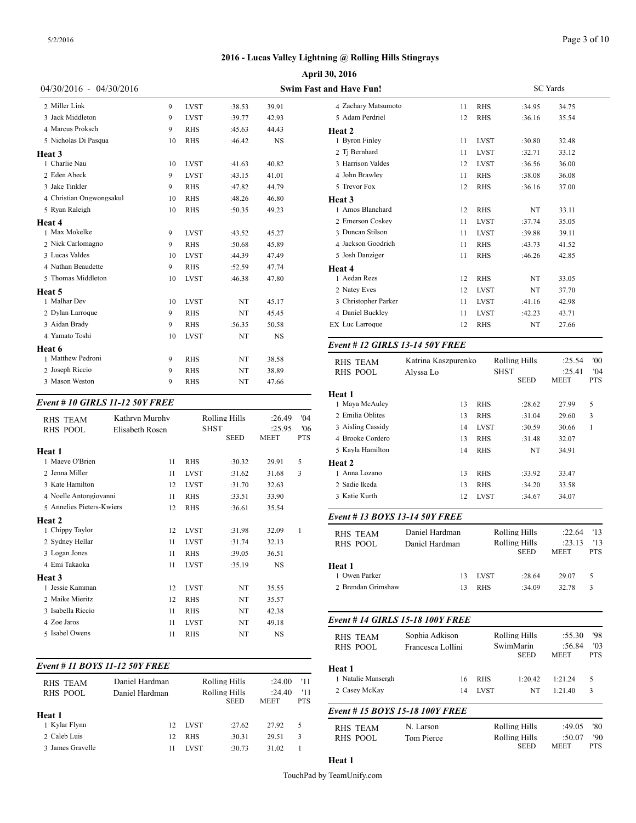#### Page 3 of 10

# **2016 - Lucas Valley Lightning @ Rolling Hills Stingrays**

|                          |    | April 30, 2016                 |        |           |                               |  |  |
|--------------------------|----|--------------------------------|--------|-----------|-------------------------------|--|--|
| 04/30/2016 - 04/30/2016  |    | <b>Swim Fast and Have Fun!</b> |        |           |                               |  |  |
| 2 Miller Link            | 9  | <b>LVST</b>                    | :38.53 | 39.91     | 4 Zachary Matsumoto           |  |  |
| 3 Jack Middleton         | 9  | <b>LVST</b>                    | :39.77 | 42.93     | 5 Adam Perdriel               |  |  |
| 4 Marcus Proksch         | 9  | <b>RHS</b>                     | :45.63 | 44.43     | Heat 2                        |  |  |
| 5 Nicholas Di Pasqua     | 10 | <b>RHS</b>                     | :46.42 | <b>NS</b> | 1 Byron Finley                |  |  |
| Heat 3                   |    |                                |        |           | 2 Tj Bernhard                 |  |  |
| 1 Charlie Nau            | 10 | <b>LVST</b>                    | :41.63 | 40.82     | 3 Harrison Valdes             |  |  |
| 2 Eden Abeck             | 9  | <b>LVST</b>                    | :43.15 | 41.01     | 4 John Brawley                |  |  |
| 3 Jake Tinkler           | 9  | <b>RHS</b>                     | :47.82 | 44.79     | 5 Trevor Fox                  |  |  |
| 4 Christian Ongwongsakul | 10 | <b>RHS</b>                     | :48.26 | 46.80     | Heat <sub>3</sub>             |  |  |
| 5 Ryan Raleigh           | 10 | <b>RHS</b>                     | :50.35 | 49.23     | 1 Amos Blanchard              |  |  |
| Heat 4                   |    |                                |        |           | 2 Emerson Coskey              |  |  |
| 1 Max Mokelke            | 9  | <b>LVST</b>                    | :43.52 | 45.27     | 3 Duncan Stilson              |  |  |
| 2 Nick Carlomagno        | 9  | <b>RHS</b>                     | :50.68 | 45.89     | 4 Jackson Goodrich            |  |  |
| 3 Lucas Valdes           | 10 | <b>LVST</b>                    | :44.39 | 47.49     | 5 Josh Danziger               |  |  |
| 4 Nathan Beaudette       | 9  | <b>RHS</b>                     | :52.59 | 47.74     | Heat 4                        |  |  |
| 5 Thomas Middleton       | 10 | <b>LVST</b>                    | :46.38 | 47.80     | 1 Aedan Rees                  |  |  |
| <b>Heat 5</b>            |    |                                |        |           | 2 Natey Eves                  |  |  |
| 1 Malhar Dev             | 10 | <b>LVST</b>                    | NT     | 45.17     | 3 Christopher Parker          |  |  |
| 2 Dylan Larroque         | 9  | <b>RHS</b>                     | NT     | 45.45     | 4 Daniel Buckley              |  |  |
| 3 Aidan Brady            | 9  | <b>RHS</b>                     | :56.35 | 50.58     | <b>EX</b> Luc Larroque        |  |  |
| 4 Yamato Toshi           | 10 | <b>LVST</b>                    | NT     | <b>NS</b> |                               |  |  |
| Heat 6                   |    |                                |        |           | Event # 12 GIRLS 13-14 50Y    |  |  |
| 1 Matthew Pedroni        | 9  | <b>RHS</b>                     | NT     | 38.58     | Katrina Ka<br><b>RHS TEAM</b> |  |  |
| 2 Joseph Riccio          | 9  | <b>RHS</b>                     | NT     | 38.89     | <b>RHS POOL</b><br>Alvssa Lo  |  |  |
| 3 Mason Weston           | 9  | <b>RHS</b>                     | NT     | 47.66     |                               |  |  |

#### *Event # 10 GIRLS 11-12 50Y FREE*

| <b>RHS TEAM</b><br><b>RHS POOL</b> | Kathryn Murphy<br>Elisabeth Rosen | Rolling Hills<br><b>SHST</b> |             | :26.49<br>:25.95 | 04'<br>'06   | 2 Emilia Oblites<br>3 Aisling Cassidy |
|------------------------------------|-----------------------------------|------------------------------|-------------|------------------|--------------|---------------------------------------|
| Heat 1                             |                                   |                              | <b>SEED</b> | MEET             | <b>PTS</b>   | 4 Brooke Cordero<br>5 Kayla Hamilton  |
| 1 Maeve O'Brien                    | 11                                | <b>RHS</b>                   | :30.32      | 29.91            | 5            | Heat 2                                |
| 2 Jenna Miller                     | 11                                | <b>LVST</b>                  | :31.62      | 31.68            | 3            | 1 Anna Lozano                         |
| 3 Kate Hamilton                    | 12                                | <b>LVST</b>                  | :31.70      | 32.63            |              | 2 Sadie Ikeda                         |
| 4 Noelle Antongiovanni             | 11                                | <b>RHS</b>                   | :33.51      | 33.90            |              | 3 Katie Kurth                         |
| 5 Annelies Pieters-Kwiers          | 12                                | <b>RHS</b>                   | :36.61      | 35.54            |              |                                       |
| Heat 2                             |                                   |                              |             |                  |              | Event # 13 $BOY$                      |
| 1 Chippy Taylor                    | 12                                | <b>LVST</b>                  | :31.98      | 32.09            | $\mathbf{1}$ | <b>RHS TEAM</b>                       |
| 2 Sydney Hellar                    | 11                                | <b>LVST</b>                  | :31.74      | 32.13            |              | <b>RHS POOL</b>                       |
| 3 Logan Jones                      | 11                                | <b>RHS</b>                   | :39.05      | 36.51            |              |                                       |
| 4 Emi Takaoka                      | 11                                | <b>LVST</b>                  | :35.19      | NS               |              | Heat 1                                |
| Heat 3                             |                                   |                              |             |                  |              | 1 Owen Parker                         |
| 1 Jessie Kamman                    | 12                                | <b>LVST</b>                  | NT          | 35.55            |              | 2 Brendan Grimsh                      |
| 2 Maike Mieritz                    | 12                                | <b>RHS</b>                   | NT          | 35.57            |              |                                       |
| 3 Isabella Riccio                  | 11                                | <b>RHS</b>                   | NT          | 42.38            |              |                                       |
| 4 Zoe Jaros                        | 11                                | <b>LVST</b>                  | NT          | 49.18            |              | Event # 14 GIRI                       |
| 5 Isabel Owens                     | 11                                | <b>RHS</b>                   | NT          | <b>NS</b>        |              | <b>RHS TEAM</b>                       |

| Event # 11 BOYS 11-12 50Y FREE |                                  |             |                                               |                                 |                          | Heat 1                             |  |
|--------------------------------|----------------------------------|-------------|-----------------------------------------------|---------------------------------|--------------------------|------------------------------------|--|
| <b>RHS TEAM</b><br>RHS POOL    | Daniel Hardman<br>Daniel Hardman |             | Rolling Hills<br>Rolling Hills<br><b>SEED</b> | :24.00<br>:24.40<br><b>MEET</b> | '11<br>'11<br><b>PTS</b> | 1 Natalie Mansers<br>2 Casey McKay |  |
| Heat 1                         |                                  |             |                                               |                                 |                          | Event # $15 BOY$                   |  |
| 1 Kylar Flynn                  | 12 <sup>2</sup>                  | <b>LVST</b> | :27.62                                        | 27.92                           | 5                        | <b>RHS TEAM</b>                    |  |
| 2 Caleb Luis                   | 12.                              | <b>RHS</b>  | :30.31                                        | 29.51                           | 3                        | RHS POOL                           |  |
| 3 James Gravelle               | 11                               | <b>LVST</b> | :30.73                                        | 31.02                           |                          |                                    |  |
|                                |                                  |             |                                               |                                 |                          |                                    |  |

| and Have Fun!          |    | <b>SC</b> Yards |        |       |  |  |  |
|------------------------|----|-----------------|--------|-------|--|--|--|
| 4 Zachary Matsumoto    | 11 | <b>RHS</b>      | :34.95 | 34.75 |  |  |  |
| 5 Adam Perdriel        | 12 | <b>RHS</b>      | :36.16 | 35.54 |  |  |  |
| Heat 2                 |    |                 |        |       |  |  |  |
| 1 Byron Finley         | 11 | <b>LVST</b>     | :30.80 | 32.48 |  |  |  |
| 2 Tj Bernhard          | 11 | <b>LVST</b>     | :32.71 | 33.12 |  |  |  |
| 3 Harrison Valdes      | 12 | <b>LVST</b>     | :36.56 | 36.00 |  |  |  |
| 4 John Brawley         | 11 | <b>RHS</b>      | :38.08 | 36.08 |  |  |  |
| 5 Trevor Fox           | 12 | <b>RHS</b>      | :36.16 | 37.00 |  |  |  |
| Heat 3                 |    |                 |        |       |  |  |  |
| 1 Amos Blanchard       | 12 | <b>RHS</b>      | NT     | 33.11 |  |  |  |
| 2 Emerson Coskey       | 11 | <b>LVST</b>     | :37.74 | 35.05 |  |  |  |
| 3 Duncan Stilson       | 11 | <b>LVST</b>     | :39.88 | 39.11 |  |  |  |
| 4 Jackson Goodrich     | 11 | <b>RHS</b>      | :43.73 | 41.52 |  |  |  |
| 5 Josh Danziger        | 11 | <b>RHS</b>      | :46.26 | 42.85 |  |  |  |
| Heat 4                 |    |                 |        |       |  |  |  |
| 1 Aedan Rees           | 12 | <b>RHS</b>      | NT     | 33.05 |  |  |  |
| 2 Natey Eves           | 12 | <b>LVST</b>     | NT     | 37.70 |  |  |  |
| 3 Christopher Parker   | 11 | <b>LVST</b>     | :41.16 | 42.98 |  |  |  |
| 4 Daniel Buckley       | 11 | <b>LVST</b>     | :42.23 | 43.71 |  |  |  |
| <b>EX Luc Larroque</b> | 12 | <b>RHS</b>      | NT     | 27.66 |  |  |  |
|                        |    |                 |        |       |  |  |  |

#### *Event # 12 GIRLS 13-14 50Y FREE*

| <b>RHS TEAM</b><br><b>RHS POOL</b> | Katrina Kaszpurenko<br>Alvssa Lo |             | Rolling Hills<br><b>SHST</b><br><b>SEED</b> | :25.54<br>:25.41<br><b>MEET</b> | '00<br>'04<br><b>PTS</b> |
|------------------------------------|----------------------------------|-------------|---------------------------------------------|---------------------------------|--------------------------|
| Heat 1                             |                                  |             |                                             |                                 |                          |
| 1 Maya McAuley                     | 13                               | <b>RHS</b>  | :28.62                                      | 27.99                           | 5                        |
| 2 Emilia Oblites                   | 13                               | <b>RHS</b>  | :31.04                                      | 29.60                           | 3                        |
| 3 Aisling Cassidy                  | 14                               | <b>LVST</b> | :30.59                                      | 30.66                           | $\mathbf{1}$             |
| 4 Brooke Cordero                   | 13                               | <b>RHS</b>  | :31.48                                      | 32.07                           |                          |
| 5 Kayla Hamilton                   | 14                               | <b>RHS</b>  | NT                                          | 34.91                           |                          |
| Heat 2                             |                                  |             |                                             |                                 |                          |
| 1 Anna Lozano                      | 13                               | <b>RHS</b>  | :33.92                                      | 33.47                           |                          |
| 2 Sadie Ikeda                      | 13                               | <b>RHS</b>  | :34.20                                      | 33.58                           |                          |
| 3 Katie Kurth                      | 12                               | <b>LVST</b> | :34.67                                      | 34.07                           |                          |
| Event #13 BOYS 13-14 50Y FREE      |                                  |             |                                             |                                 |                          |
| <b>RHS TEAM</b>                    | Daniel Hardman                   |             | <b>Rolling Hills</b>                        | :22.64                          | '13                      |
| <b>RHS POOL</b>                    | Daniel Hardman                   |             | Rolling Hills<br><b>SEED</b>                | : 23.13<br><b>MEET</b>          | '13<br><b>PTS</b>        |
| Heat 1                             |                                  |             |                                             |                                 |                          |
| 1 Owen Parker                      | 13                               | <b>LVST</b> | :28.64                                      | 29.07                           | 5                        |
| 2 Brendan Grimshaw                 | 13                               | <b>RHS</b>  | :34.09                                      | 32.78                           | 3                        |
| Event # 14 GIRLS 15-18 100Y FREE   |                                  |             |                                             |                                 |                          |
| <b>RHS TEAM</b>                    | Sophia Adkison                   |             | Rolling Hills                               | :55.30                          | '98                      |
| <b>RHS POOL</b>                    | Francesca Lollini                |             | SwimMarin<br><b>SEED</b>                    | :56.84<br><b>MEET</b>           | '03<br><b>PTS</b>        |
| Heat 1                             |                                  |             |                                             |                                 |                          |

#### RHS POOL Daniel Hardman Rolling Hills :24.40 '11 2 Casey McKay 14 LVST NT 1:21.40 3 1 Kylar Flynn 12 LVST :27.62 27.92 5 RHS\_TEAM N. Larson Rolling Hills :49.05 '80 RHS POOL *Event # 15 BOYS 15-18 100Y FREE* Tom Pierce Rolling Hills :50.07 '90<br>SEED MEET PTS **MEET**

1 Natalie Mansergh 16 RHS 1:20.42 1:21.24 5

**Heat 1**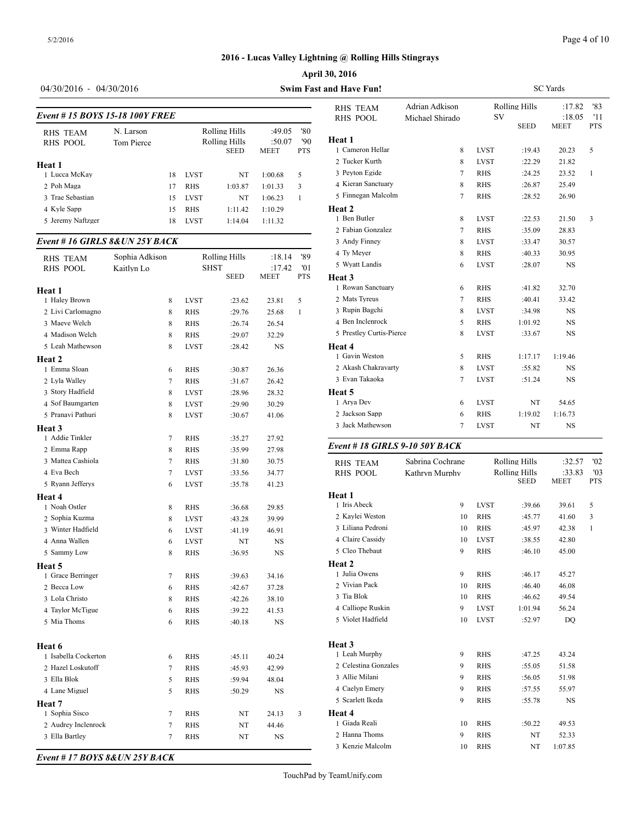#### Page 4 of 10

# **2016 - Lucas Valley Lightning @ Rolling Hills Stingrays**

#### **April 30, 2016**

# 04/30/2016 - 04/30/2016 **Swim Fast**

| Event #15 BOYS 15-18 100Y FREE |                         | RHS TEAM<br>RHS POOL |             |                                               |                                 |                          |                            |
|--------------------------------|-------------------------|----------------------|-------------|-----------------------------------------------|---------------------------------|--------------------------|----------------------------|
| <b>RHS TEAM</b><br>RHS POOL    | N. Larson<br>Tom Pierce |                      |             | Rolling Hills<br>Rolling Hills<br><b>SEED</b> | :49.05<br>:50.07<br><b>MEET</b> | '80<br>'90<br><b>PTS</b> | Heat 1<br>1 Cameron Hellar |
| Heat 1                         |                         |                      |             |                                               |                                 |                          | 2. Tucker Kurth            |
| 1 Lucca McKav                  |                         | 18                   | <b>LVST</b> | NT                                            | 1:00.68                         | 5                        | 3 Peyton Egide             |
| 2 Poh Maga                     |                         | 17                   | <b>RHS</b>  | 1:03.87                                       | 1:01.33                         | 3                        | 4 Kieran Sanctuar          |
| 3 Trae Sebastian               |                         | 15                   | <b>LVST</b> | NT                                            | 1:06.23                         | 1                        | 5 Finnegan Malco           |
| 4 Kyle Sapp                    |                         | 15                   | <b>RHS</b>  | 1:11.42                                       | 1:10.29                         |                          | Heat 2                     |
| 5 Jeremy Naftzger              |                         | 18                   | <b>LVST</b> | 1:14.04                                       | 1:11.32                         |                          | 1 Ben Butler               |
|                                |                         |                      |             |                                               |                                 |                          | 2 Fabian Gonzalez          |

#### *Event # 16 GIRLS 8&UN 25Y BACK*

| Sophia Adkison<br><b>RHS TEAM</b> |                |             | <b>Rolling Hills</b> | :18.14      | '89          | 4 Ty Meyer<br>5 Wyatt Landis |
|-----------------------------------|----------------|-------------|----------------------|-------------|--------------|------------------------------|
| <b>RHS POOL</b>                   | Kaitlyn Lo     | <b>SHST</b> |                      | :17.42      | '01          |                              |
|                                   |                |             | <b>SEED</b>          | <b>MEET</b> | <b>PTS</b>   | Heat 3                       |
| Heat 1                            |                |             |                      |             |              | 1 Rowan Sanctuar             |
| 1 Haley Brown                     | 8              | <b>LVST</b> | :23.62               | 23.81       | 5            | 2 Mats Tyreus                |
| 2 Livi Carlomagno                 | 8              | <b>RHS</b>  | :29.76               | 25.68       | $\mathbf{1}$ | 3 Rupin Bagchi               |
| 3 Maeve Welch                     | 8              | <b>RHS</b>  | :26.74               | 26.54       |              | 4 Ben Inclenrock             |
| 4 Madison Welch                   | 8              | <b>RHS</b>  | :29.07               | 32.29       |              | 5 Prestley Curtis-I          |
| 5 Leah Mathewson                  | 8              | <b>LVST</b> | :28.42               | NS          |              | Heat 4                       |
| Heat 2                            |                |             |                      |             |              | 1 Gavin Weston               |
| 1 Emma Sloan                      | 6              | <b>RHS</b>  | :30.87               | 26.36       |              | 2 Akash Chakrava             |
| 2 Lyla Walley                     | 7              | <b>RHS</b>  | :31.67               | 26.42       |              | 3 Evan Takaoka               |
| 3 Story Hadfield                  | 8              | <b>LVST</b> | :28.96               | 28.32       |              | Heat 5                       |
| 4 Sof Baumgarten                  | 8              | <b>LVST</b> | :29.90               | 30.29       |              | 1 Arya Dev                   |
| 5 Pranavi Pathuri                 | 8              | <b>LVST</b> | :30.67               | 41.06       |              | 2 Jackson Sapp               |
| Heat 3                            |                |             |                      |             |              | 3 Jack Mathewsor             |
| 1 Addie Tinkler                   | $\tau$         | <b>RHS</b>  | :35.27               | 27.92       |              |                              |
| 2 Emma Rapp                       | 8              | <b>RHS</b>  | :35.99               | 27.98       |              | Event # 18 GIRI              |
| 3 Mattea Cashiola                 | $\overline{7}$ | <b>RHS</b>  | :31.80               | 30.75       |              | RHS TEAM                     |
| 4 Eva Bech                        | $\overline{7}$ | <b>LVST</b> | :33.56               | 34.77       |              | <b>RHS POOL</b>              |
| 5 Ryann Jefferys                  | 6              | <b>LVST</b> | :35.78               | 41.23       |              |                              |
| Heat 4                            |                |             |                      |             |              | Heat 1                       |
| 1 Noah Ostler                     | 8              | RHS         | :36.68               | 29.85       |              | 1 Iris Abeck                 |
| 2 Sophia Kuzma                    | 8              | <b>LVST</b> | :43.28               | 39.99       |              | 2 Kaylei Weston              |
| 3 Winter Hadfield                 | 6              | <b>LVST</b> | :41.19               | 46.91       |              | 3 Liliana Pedroni            |
| 4 Anna Wallen                     | 6              | <b>LVST</b> | NT                   | <b>NS</b>   |              | 4 Claire Cassidy             |
| 5 Sammy Low                       | 8              | <b>RHS</b>  | :36.95               | NS          |              | 5 Cleo Thebaut               |
| Heat 5                            |                |             |                      |             |              | Heat 2                       |
| 1 Grace Berringer                 | $\overline{7}$ | <b>RHS</b>  | :39.63               | 34.16       |              | 1 Julia Owens                |
| 2 Becca Low                       | 6              | <b>RHS</b>  | :42.67               | 37.28       |              | 2 Vivian Pack                |
| 3 Lola Christo                    | 8              | <b>RHS</b>  | :42.26               | 38.10       |              | 3 Tia Blok                   |
| 4 Taylor McTigue                  | 6              | <b>RHS</b>  | :39.22               | 41.53       |              | 4 Calliope Ruskin            |
| 5 Mia Thoms                       | 6              | <b>RHS</b>  | :40.18               | NS          |              | 5 Violet Hadfield            |
| Heat 6                            |                |             |                      |             |              | Heat 3                       |
| 1 Isabella Cockerton              | 6              | <b>RHS</b>  | :45.11               | 40.24       |              | 1 Leah Murphy                |
| 2 Hazel Loskutoff                 | $\overline{7}$ | <b>RHS</b>  | :45.93               | 42.99       |              | 2 Celestina Gonza            |
| 3 Ella Blok                       | 5              | <b>RHS</b>  | :59.94               | 48.04       |              | 3 Allie Milani               |
| 4 Lane Miguel                     | 5              | <b>RHS</b>  | :50.29               | <b>NS</b>   |              | 4 Caelyn Emery               |
| Heat 7                            |                |             |                      |             |              | 5 Scarlett Ikeda             |
| 1 Sophia Sisco                    | $\tau$         | <b>RHS</b>  | NT                   | 24.13       | 3            | Heat 4                       |
| 2 Audrey Inclenrock               | $\tau$         | RHS         | NT                   | 44.46       |              | 1 Giada Reali                |
| 3 Ella Bartley                    | $\tau$         | <b>RHS</b>  | NT                   | NS          |              | 2 Hanna Thoms                |
|                                   |                |             |                      |             |              | 3 Kenzie Malcoln             |
|                                   |                |             |                      |             |              |                              |

| t and Have Fun!                              |                  |        | <b>SC</b> Yards      |                      |         |              |  |  |  |  |
|----------------------------------------------|------------------|--------|----------------------|----------------------|---------|--------------|--|--|--|--|
| <b>RHS TEAM</b>                              | Adrian Adkison   |        |                      | <b>Rolling Hills</b> | :17.82  | '83          |  |  |  |  |
| <b>RHS POOL</b>                              | Michael Shirado  |        | SV                   |                      | :18.05  | '11          |  |  |  |  |
|                                              |                  |        |                      | <b>SEED</b>          | MEET    | PTS          |  |  |  |  |
| Heat 1                                       |                  |        |                      |                      |         |              |  |  |  |  |
| 1 Cameron Hellar                             |                  | 8      | <b>LVST</b>          | :19.43               | 20.23   | 5            |  |  |  |  |
| 2 Tucker Kurth                               |                  | 8      | <b>LVST</b>          | :22.29               | 21.82   |              |  |  |  |  |
| 3 Peyton Egide                               |                  | $\tau$ | <b>RHS</b>           | :24.25               | 23.52   | $\mathbf{1}$ |  |  |  |  |
| 4 Kieran Sanctuary                           |                  | 8      | <b>RHS</b>           | :26.87               | 25.49   |              |  |  |  |  |
| 5 Finnegan Malcolm                           |                  | 7      | <b>RHS</b>           | :28.52               | 26.90   |              |  |  |  |  |
| Heat 2                                       |                  |        |                      |                      |         |              |  |  |  |  |
| 1 Ben Butler                                 |                  | 8      | <b>LVST</b>          | :22.53               | 21.50   | 3            |  |  |  |  |
| 2 Fabian Gonzalez                            |                  | $\tau$ | <b>RHS</b>           | :35.09               | 28.83   |              |  |  |  |  |
| 3 Andy Finney                                |                  | 8      | <b>LVST</b>          | :33.47               | 30.57   |              |  |  |  |  |
| 4 Ty Meyer                                   |                  | 8      | <b>RHS</b>           | :40.33               | 30.95   |              |  |  |  |  |
| 5 Wyatt Landis                               |                  | 6      | <b>LVST</b>          | :28.07               | NS      |              |  |  |  |  |
| Heat 3                                       |                  |        |                      |                      |         |              |  |  |  |  |
| 1 Rowan Sanctuary                            |                  | 6      | <b>RHS</b>           | :41.82               | 32.70   |              |  |  |  |  |
| 2 Mats Tyreus                                |                  | $\tau$ | <b>RHS</b>           | :40.41               | 33.42   |              |  |  |  |  |
| 3 Rupin Bagchi                               |                  | 8      | <b>LVST</b>          | :34.98               | NS      |              |  |  |  |  |
| 4 Ben Inclenrock<br>5 Prestley Curtis-Pierce |                  | 5      | <b>RHS</b>           | 1:01.92              | NS      |              |  |  |  |  |
|                                              |                  | 8      | <b>LVST</b>          | :33.67               | NS      |              |  |  |  |  |
| Heat 4<br>1 Gavin Weston                     |                  | 5      | <b>RHS</b>           |                      | 1:19.46 |              |  |  |  |  |
| 2 Akash Chakravarty                          |                  | 8      | LVST                 | 1:17.17<br>:55.82    | NS      |              |  |  |  |  |
| 3 Evan Takaoka                               |                  | 7      | <b>LVST</b>          | :51.24               | NS      |              |  |  |  |  |
|                                              |                  |        |                      |                      |         |              |  |  |  |  |
| Heat 5<br>1 Arya Dev                         |                  | 6      | <b>LVST</b>          | NT                   | 54.65   |              |  |  |  |  |
| 2 Jackson Sapp                               |                  | 6      | <b>RHS</b>           | 1:19.02              | 1:16.73 |              |  |  |  |  |
| 3 Jack Mathewson                             |                  | 7      | <b>LVST</b>          | NT                   | NS      |              |  |  |  |  |
|                                              |                  |        |                      |                      |         |              |  |  |  |  |
| Event # 18 GIRLS 9-10 50Y BACK               |                  |        |                      |                      |         |              |  |  |  |  |
| <b>RHS TEAM</b>                              | Sabrina Cochrane |        |                      | <b>Rolling Hills</b> | :32.57  | '02          |  |  |  |  |
| <b>RHS POOL</b>                              | Kathryn Murphy   |        | <b>Rolling Hills</b> |                      | :33.83  | '03          |  |  |  |  |
|                                              |                  |        |                      | <b>SEED</b>          | MEET    | PTS          |  |  |  |  |
| Heat 1                                       |                  |        |                      |                      |         |              |  |  |  |  |
| 1 Iris Abeck                                 |                  | 9      | <b>LVST</b>          | :39.66               | 39.61   | 5            |  |  |  |  |
| 2 Kaylei Weston                              |                  | 10     | <b>RHS</b>           | :45.77               | 41.60   | 3            |  |  |  |  |
| 3 Liliana Pedroni                            |                  | 10     | <b>RHS</b>           | :45.97               | 42.38   | 1            |  |  |  |  |
| 4 Claire Cassidy                             |                  | 10     | <b>LVST</b>          | :38.55               | 42.80   |              |  |  |  |  |
| 5 Cleo Thebaut                               |                  | 9      | <b>RHS</b>           | :46.10               | 45.00   |              |  |  |  |  |
| Heat 2                                       |                  |        |                      |                      |         |              |  |  |  |  |
| 1 Julia Owens                                |                  | 9      | <b>RHS</b>           | :46.17               | 45.27   |              |  |  |  |  |
| 2 Vivian Pack                                |                  | 10     | RHS                  | :46.40               | 46.08   |              |  |  |  |  |
| 3 Tia Blok                                   |                  | 10     | RHS                  | :46.62               | 49.54   |              |  |  |  |  |
| 4 Calliope Ruskin                            |                  | 9      | LVST                 | 1:01.94              | 56.24   |              |  |  |  |  |
| 5 Violet Hadfield                            |                  | 10     | LVST                 | :52.97               | DQ      |              |  |  |  |  |
|                                              |                  |        |                      |                      |         |              |  |  |  |  |
| Heat 3                                       |                  |        |                      |                      |         |              |  |  |  |  |
| 1 Leah Murphy                                |                  | 9      | RHS                  | :47.25               | 43.24   |              |  |  |  |  |
| 2 Celestina Gonzales                         |                  | 9      | <b>RHS</b>           | :55.05               | 51.58   |              |  |  |  |  |
| 3 Allie Milani                               |                  | 9      | RHS                  | :56.05               | 51.98   |              |  |  |  |  |
| 4 Caelyn Emery                               |                  | 9      | RHS                  | :57.55               | 55.97   |              |  |  |  |  |
| 5 Scarlett Ikeda                             |                  | 9      | <b>RHS</b>           | :55.78               | NS      |              |  |  |  |  |
| Heat 4                                       |                  |        |                      |                      |         |              |  |  |  |  |
| 1 Giada Reali                                |                  | 10     | RHS                  | :50.22               | 49.53   |              |  |  |  |  |
| 2 Hanna Thoms                                |                  | 9      | <b>RHS</b>           | NT                   | 52.33   |              |  |  |  |  |

Kenzie Malcolm 10 RHS NT 1:07.85

*Event # 17 BOYS 8&UN 25Y BACK*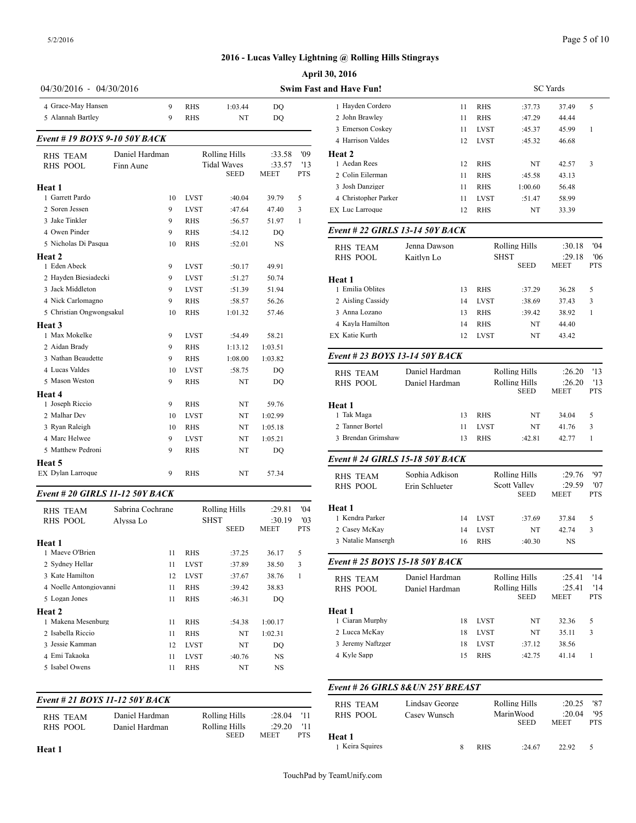| Page 5 of 10 |  |
|--------------|--|
|--------------|--|

|                                          |                           |                                     |                  |                   | <b>April 30, 2016</b>                 |            |
|------------------------------------------|---------------------------|-------------------------------------|------------------|-------------------|---------------------------------------|------------|
| 04/30/2016 - 04/30/2016                  |                           |                                     |                  |                   | <b>Swim Fast and Have Fun!</b>        |            |
| 4 Grace-May Hansen<br>9                  | RHS                       | 1:03.44                             | DQ               |                   | 1 Hayden Cordero                      |            |
| 5 Alannah Bartley<br>9                   | RHS                       | NT                                  | DQ               |                   | 2 John Brawley                        |            |
| <b>Event # 19 BOYS 9-10 50Y BACK</b>     |                           |                                     |                  |                   | 3 Emerson Coskey                      |            |
|                                          |                           |                                     |                  |                   | 4 Harrison Valdes                     |            |
| Daniel Hardman<br><b>RHS TEAM</b>        |                           | Rolling Hills<br><b>Tidal Waves</b> | :33.58<br>:33.57 | '09<br>'13        | Heat 2<br>1 Aedan Rees                |            |
| <b>RHS POOL</b><br>Finn Aune             |                           | SEED                                | MEET             | <b>PTS</b>        | 2 Colin Eilerman                      |            |
| Heat 1                                   |                           |                                     |                  |                   | 3 Josh Danziger                       |            |
| 1 Garrett Pardo                          | 10<br><b>LVST</b>         | :40.04                              | 39.79            | 5                 | 4 Christopher Parker                  |            |
| 2 Soren Jessen<br>9                      | <b>LVST</b>               | :47.64                              | 47.40            | 3                 | EX Luc Larroque                       |            |
| 3 Jake Tinkler<br>9                      | <b>RHS</b>                | :56.57                              | 51.97            | 1                 |                                       |            |
| 4 Owen Pinder<br>9                       | RHS                       | :54.12                              | DQ               |                   | Event # 22 GIRLS 13-14 50Y            |            |
| 5 Nicholas Di Pasqua<br>10               | <b>RHS</b>                | :52.01                              | NS               |                   | <b>RHS TEAM</b>                       | Jenna Dav  |
| Heat 2<br>1 Eden Abeck<br>9              | <b>LVST</b>               | :50.17                              | 49.91            |                   | <b>RHS POOL</b>                       | Kaitlyn Lo |
| 2 Hayden Biesiadecki<br>9                | <b>LVST</b>               | :51.27                              | 50.74            |                   | Heat 1                                |            |
| 3 Jack Middleton<br>9                    | <b>LVST</b>               | :51.39                              | 51.94            |                   | 1 Emilia Oblites                      |            |
| 4 Nick Carlomagno<br>9                   | RHS                       | :58.57                              | 56.26            |                   | 2 Aisling Cassidy                     |            |
| 5 Christian Ongwongsakul<br>10           | <b>RHS</b>                | 1:01.32                             | 57.46            |                   | 3 Anna Lozano                         |            |
| Heat 3                                   |                           |                                     |                  |                   | 4 Kayla Hamilton                      |            |
| 1 Max Mokelke<br>9                       | <b>LVST</b>               | :54.49                              | 58.21            |                   | EX Katie Kurth                        |            |
| 2 Aidan Brady<br>9<br>3 Nathan Beaudette | <b>RHS</b>                | 1:13.12                             | 1:03.51          |                   | <b>Event #23 BOYS 13-14 50Y</b>       |            |
| 9<br>4 Lucas Valdes<br>10                | <b>RHS</b><br><b>LVST</b> | 1:08.00<br>:58.75                   | 1:03.82<br>DQ    |                   |                                       |            |
| 5 Mason Weston<br>9                      | <b>RHS</b>                | NT                                  | DQ               |                   | <b>RHS TEAM</b><br><b>RHS POOL</b>    | Daniel Ha  |
| Heat 4                                   |                           |                                     |                  |                   |                                       | Daniel Ha  |
| 1 Joseph Riccio<br>9                     | RHS                       | NT                                  | 59.76            |                   | Heat 1                                |            |
| 2 Malhar Dev                             | 10<br><b>LVST</b>         | NT                                  | 1:02.99          |                   | 1 Tak Maga                            |            |
| 3 Ryan Raleigh                           | 10<br><b>RHS</b>          | NT                                  | 1:05.18          |                   | 2 Tanner Bortel                       |            |
| 4 Marc Helwee<br>9                       | <b>LVST</b>               | NT                                  | 1:05.21          |                   | 3 Brendan Grimshaw                    |            |
| 5 Matthew Pedroni<br>9                   | <b>RHS</b>                | NT                                  | DQ               |                   |                                       |            |
| Heat 5                                   |                           |                                     |                  |                   | Event # 24 GIRLS 15-18 50Y            |            |
| EX Dylan Larroque<br>9                   | <b>RHS</b>                | NT                                  | 57.34            |                   | <b>RHS TEAM</b>                       | Sophia Ad  |
| Event # 20 GIRLS 11-12 50Y BACK          |                           |                                     |                  |                   | <b>RHS POOL</b>                       | Erin Schlu |
| Sabrina Cochrane<br><b>RHS TEAM</b>      |                           | <b>Rolling Hills</b>                | :29.81           | '04               | Heat 1                                |            |
| <b>RHS POOL</b><br>Alvssa Lo             |                           | <b>SHST</b>                         | :30.19           | '03               | 1 Kendra Parker                       |            |
|                                          |                           | SEED                                | MEET             | PTS               | 2 Casey McKay                         |            |
| Heat 1<br>1 Maeve O'Brien<br>11          | RHS                       | :37.25                              | 36.17            | 5                 | 3 Natalie Mansergh                    |            |
| 2 Sydney Hellar<br>11                    | <b>LVST</b>               | :37.89                              | 38.50            | 3                 | <b>Event # 25 BOYS 15-18 50Y</b>      |            |
| 3 Kate Hamilton                          | <b>LVST</b><br>12         | :37.67                              | 38.76            | 1                 |                                       | Daniel Ha  |
| 4 Noelle Antongiovanni<br>11             | RHS                       | :39.42                              | 38.83            |                   | <b>RHS TEAM</b><br><b>RHS POOL</b>    | Daniel Ha  |
| 5 Logan Jones<br>11                      | RHS                       | :46.31                              | DQ               |                   |                                       |            |
| Heat 2                                   |                           |                                     |                  |                   | Heat 1                                |            |
| 1 Makena Mesenburg<br>11                 | RHS                       | :54.38                              | 1:00.17          |                   | 1 Ciaran Murphy                       |            |
| 2 Isabella Riccio<br>11                  | RHS                       | NT                                  | 1:02.31          |                   | 2 Lucca McKay                         |            |
| 3 Jessie Kamman                          | 12<br><b>LVST</b>         | NT                                  | DQ               |                   | 3 Jeremy Naftzger                     |            |
| 4 Emi Takaoka<br>11                      | <b>LVST</b>               | :40.76                              | NS               |                   | 4 Kyle Sapp                           |            |
| 5 Isabel Owens<br>11                     | RHS                       | NT                                  | NS               |                   |                                       |            |
|                                          |                           |                                     |                  |                   | <i>Event # 26 GIRLS 8&amp; UN 25.</i> |            |
| Event # 21 BOYS 11-12 50Y BACK           |                           |                                     |                  |                   | <b>RHS TEAM</b>                       | Lindsay G  |
| Daniel Hardman<br><b>RHS TEAM</b>        |                           | <b>Rolling Hills</b>                | :28.04           | '11               | <b>RHS POOL</b>                       | Casey Wu   |
| <b>RHS POOL</b><br>Daniel Hardman        |                           | Rolling Hills<br>SEED               | :29.20<br>MEET   | '11<br><b>PTS</b> |                                       |            |
| Heat 1                                   |                           |                                     |                  |                   | Heat 1<br>1 Keira Squires             |            |

| 0, 2016                          |                |             |                                     |                 |                   |
|----------------------------------|----------------|-------------|-------------------------------------|-----------------|-------------------|
| nd Have Fun!                     |                |             |                                     | <b>SC</b> Yards |                   |
| 1 Hayden Cordero                 | 11             | RHS         | :37.73                              | 37.49           | 5                 |
| 2 John Brawley                   | 11             | <b>RHS</b>  | :47.29                              | 44.44           |                   |
| 3 Emerson Coskey                 | 11             | <b>LVST</b> | :45.37                              | 45.99           | $\mathbf{1}$      |
| 4 Harrison Valdes                | 12             | <b>LVST</b> | :45.32                              | 46.68           |                   |
| Heat 2                           |                |             |                                     |                 |                   |
| 1 Aedan Rees                     | 12             | RHS         | NT                                  | 42.57           | 3                 |
| 2 Colin Eilerman                 | 11             | RHS         | :45.58                              | 43.13           |                   |
| 3 Josh Danziger                  | 11             | <b>RHS</b>  | 1:00.60                             | 56.48           |                   |
| 4 Christopher Parker             | 11             | <b>LVST</b> | :51.47                              | 58.99           |                   |
| <b>EX</b> Luc Larroque           | 12             | RHS         | NT                                  | 33.39           |                   |
| Event # 22 GIRLS 13-14 50Y BACK  |                |             |                                     |                 |                   |
| <b>RHS TEAM</b>                  | Jenna Dawson   |             | <b>Rolling Hills</b>                | :30.18          | 04                |
| <b>RHS POOL</b>                  | Kaitlyn Lo     |             | <b>SHST</b>                         | :29.18          | '06               |
|                                  |                |             | <b>SEED</b>                         | MEET            | <b>PTS</b>        |
| Heat 1                           |                |             |                                     |                 |                   |
| 1 Emilia Oblites                 | 13             | <b>RHS</b>  | :37.29                              | 36.28           | 5                 |
| 2 Aisling Cassidy                | 14             | <b>LVST</b> | :38.69                              | 37.43           | 3                 |
| 3 Anna Lozano                    | 13             | RHS         | :39.42                              | 38.92           | 1                 |
| 4 Kayla Hamilton                 | 14             | <b>RHS</b>  | NT                                  | 44.40           |                   |
| EX Katie Kurth                   | 12             | <b>LVST</b> | NT                                  | 43.42           |                   |
| Event # 23 BOYS 13-14 50Y BACK   |                |             |                                     |                 |                   |
| <b>RHS TEAM</b>                  | Daniel Hardman |             | <b>Rolling Hills</b>                | :26.20          | '13               |
| <b>RHS POOL</b>                  | Daniel Hardman |             | <b>Rolling Hills</b><br><b>SEED</b> | :26.20<br>MEET  | '13<br><b>PTS</b> |
| Heat 1                           |                |             |                                     |                 |                   |
| 1 Tak Maga                       | 13             | RHS         | NT                                  | 34.04           | 5                 |
| 2 Tanner Bortel                  | 11             | LVST        | NT                                  | 41.76           | 3                 |
| 3 Brendan Grimshaw               | 13             | <b>RHS</b>  | :42.81                              | 42.77           | 1                 |
| Event # 24 GIRLS 15-18 50Y BACK  |                |             |                                     |                 |                   |
|                                  |                |             |                                     |                 |                   |
| <b>RHS TEAM</b>                  | Sophia Adkison |             | Rolling Hills                       | :29.76          | '97               |
| <b>RHS POOL</b>                  | Erin Schlueter |             | Scott Valley<br><b>SEED</b>         | :29.59<br>MEET  | '07<br>PTS        |
| Heat 1                           |                |             |                                     |                 |                   |
| 1 Kendra Parker                  | 14             | LVST        | :37.69                              | 37.84           | 5                 |
| 2 Casey McKay                    | 14             | <b>LVST</b> | NT                                  | 42.74           | 3                 |
| 3 Natalie Mansergh               | 16             | RHS         | :40.30                              | NS              |                   |
|                                  |                |             |                                     |                 |                   |
| Event # 25 BOYS 15-18 50Y BACK   |                |             |                                     |                 |                   |
| <b>RHS TEAM</b>                  | Daniel Hardman |             | <b>Rolling Hills</b>                | :25.41          | '14               |
| <b>RHS POOL</b>                  | Daniel Hardman |             | <b>Rolling Hills</b>                | :25.41          | '14               |
|                                  |                |             | <b>SEED</b>                         | MEET            | PTS               |
| Heat 1                           |                |             |                                     |                 |                   |
| 1 Ciaran Murphy                  | 18             | <b>LVST</b> | NT                                  | 32.36           | 5                 |
| 2 Lucca McKay                    | 18             | LVST        | NT                                  | 35.11           | 3                 |
| 3 Jeremy Naftzger                | 18             | LVST        | :37.12                              | 38.56           |                   |
| 4 Kyle Sapp                      | 15             | RHS         | :42.75                              | 41.14           | 1                 |
|                                  |                |             |                                     |                 |                   |
| Event # 26 GIRLS 8&UN 25Y BREAST |                |             |                                     |                 |                   |
| RHS TEAM                         | Lindsay George |             | <b>Rolling Hills</b>                | :20.25          | '87               |
| <b>RHS POOL</b>                  | Casey Wunsch   |             | MarinWood                           | :20.04          | '95               |
|                                  |                |             | SEED                                | MEET            | PTS               |
| Heat 1                           |                |             |                                     |                 |                   |
| 1 Keira Squires                  | 8              | RHS         | :24.67                              | 22.92           | 5                 |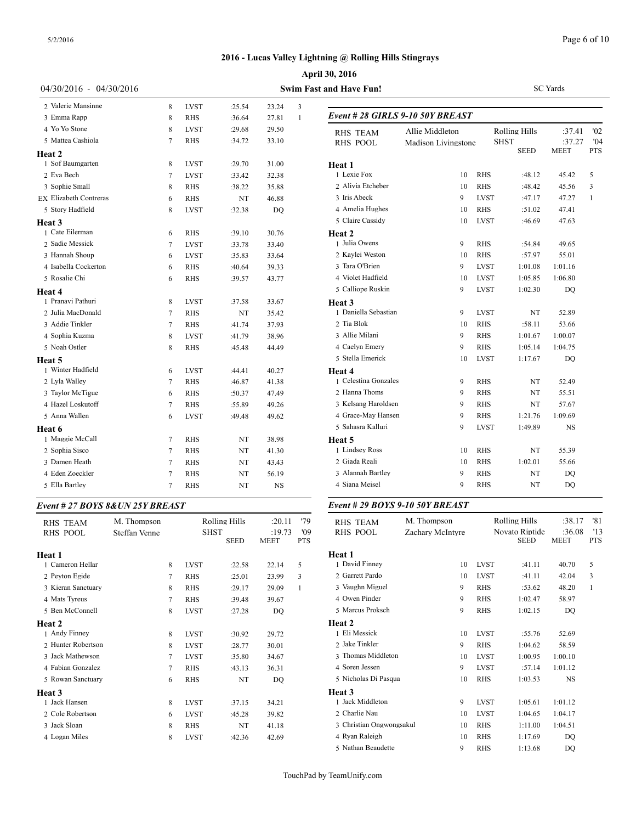|                                  |               |   |             |               |                |                   | April 30, 2016                   |                     |             |                               |                           |                |
|----------------------------------|---------------|---|-------------|---------------|----------------|-------------------|----------------------------------|---------------------|-------------|-------------------------------|---------------------------|----------------|
| 04/30/2016 - 04/30/2016          |               |   |             |               |                |                   | <b>Swim Fast and Have Fun!</b>   |                     |             |                               | <b>SC</b> Yards           |                |
| 2 Valerie Mansinne               |               | 8 | <b>LVST</b> | :25.54        | 23.24          | 3                 |                                  |                     |             |                               |                           |                |
| 3 Emma Rapp                      |               | 8 | <b>RHS</b>  | :36.64        | 27.81          | 1                 | Event # 28 GIRLS 9-10 50Y BREAST |                     |             |                               |                           |                |
| 4 Yo Yo Stone                    |               | 8 | <b>LVST</b> | :29.68        | 29.50          |                   | <b>RHS TEAM</b>                  | Allie Middleton     |             | Rolling Hills                 | :37.41                    | '02            |
| 5 Mattea Cashiola                |               | 7 | <b>RHS</b>  | :34.72        | 33.10          |                   | <b>RHS POOL</b>                  | Madison Livingstone |             | <b>SHST</b>                   | :37.27                    | '04            |
| Heat 2                           |               |   |             |               |                |                   |                                  |                     |             | <b>SEED</b>                   | <b>MEET</b>               | <b>PTS</b>     |
| 1 Sof Baumgarten                 |               | 8 | <b>LVST</b> | :29.70        | 31.00          |                   | Heat 1                           |                     |             |                               |                           |                |
| 2 Eva Bech                       |               | 7 | <b>LVST</b> | :33.42        | 32.38          |                   | 1 Lexie Fox                      | 10                  | <b>RHS</b>  | :48.12                        | 45.42                     | 5              |
| 3 Sophie Small                   |               | 8 | <b>RHS</b>  | :38.22        | 35.88          |                   | 2 Alivia Etcheber                | 10                  | <b>RHS</b>  | :48.42                        | 45.56                     | 3              |
| <b>EX Elizabeth Contreras</b>    |               | 6 | <b>RHS</b>  | NT            | 46.88          |                   | 3 Iris Abeck                     | 9                   | <b>LVST</b> | :47.17                        | 47.27                     | $\overline{1}$ |
| 5 Story Hadfield                 |               | 8 | <b>LVST</b> | :32.38        | DQ             |                   | 4 Amelia Hughes                  | 10                  | <b>RHS</b>  | :51.02                        | 47.41                     |                |
| Heat 3                           |               |   |             |               |                |                   | 5 Claire Cassidy                 | 10                  | <b>LVST</b> | :46.69                        | 47.63                     |                |
| 1 Cate Eilerman                  |               | 6 | <b>RHS</b>  | :39.10        | 30.76          |                   | Heat 2                           |                     |             |                               |                           |                |
| 2 Sadie Messick                  |               | 7 | <b>LVST</b> | :33.78        | 33.40          |                   | 1 Julia Owens                    | 9                   | <b>RHS</b>  | :54.84                        | 49.65                     |                |
| 3 Hannah Shoup                   |               | 6 | <b>LVST</b> | :35.83        | 33.64          |                   | 2 Kaylei Weston                  | 10                  | <b>RHS</b>  | :57.97                        | 55.01                     |                |
| 4 Isabella Cockerton             |               | 6 | <b>RHS</b>  | :40.64        | 39.33          |                   | 3 Tara O'Brien                   | 9                   | <b>LVST</b> | 1:01.08                       | 1:01.16                   |                |
| 5 Rosalie Chi                    |               | 6 | <b>RHS</b>  | :39.57        | 43.77          |                   | 4 Violet Hadfield                | 10                  | <b>LVST</b> | 1:05.85                       | 1:06.80                   |                |
| Heat 4                           |               |   |             |               |                |                   | 5 Calliope Ruskin                | 9                   | <b>LVST</b> | 1:02.30                       | DQ                        |                |
| 1 Pranavi Pathuri                |               | 8 | <b>LVST</b> | :37.58        | 33.67          |                   | Heat 3                           |                     |             |                               |                           |                |
| 2 Julia MacDonald                |               | 7 | <b>RHS</b>  | NT            | 35.42          |                   | 1 Daniella Sebastian             | 9                   | <b>LVST</b> | NT                            | 52.89                     |                |
| 3 Addie Tinkler                  |               | 7 | <b>RHS</b>  | :41.74        | 37.93          |                   | 2 Tia Blok                       | 10                  | <b>RHS</b>  | :58.11                        | 53.66                     |                |
| 4 Sophia Kuzma                   |               | 8 | <b>LVST</b> | :41.79        | 38.96          |                   | 3 Allie Milani                   | 9                   | <b>RHS</b>  | 1:01.67                       | 1:00.07                   |                |
| 5 Noah Ostler                    |               | 8 | <b>RHS</b>  | :45.48        | 44.49          |                   | 4 Caelyn Emery                   | 9                   | <b>RHS</b>  | 1:05.14                       | 1:04.75                   |                |
| Heat 5                           |               |   |             |               |                |                   | 5 Stella Emerick                 | 10                  | <b>LVST</b> | 1:17.67                       | DQ                        |                |
| 1 Winter Hadfield                |               | 6 | <b>LVST</b> | :44.41        | 40.27          |                   | Heat 4                           |                     |             |                               |                           |                |
| 2 Lyla Walley                    |               | 7 | <b>RHS</b>  | :46.87        | 41.38          |                   | 1 Celestina Gonzales             | 9                   | <b>RHS</b>  | NT                            | 52.49                     |                |
| 3 Taylor McTigue                 |               | 6 | <b>RHS</b>  | :50.37        | 47.49          |                   | 2 Hanna Thoms                    | 9                   | <b>RHS</b>  | NT                            | 55.51                     |                |
| 4 Hazel Loskutoff                |               | 7 | <b>RHS</b>  | :55.89        | 49.26          |                   | 3 Kelsang Haroldsen              | 9                   | <b>RHS</b>  | NT                            | 57.67                     |                |
| 5 Anna Wallen                    |               | 6 | <b>LVST</b> | :49.48        | 49.62          |                   | 4 Grace-May Hansen               | 9                   | <b>RHS</b>  | 1:21.76                       | 1:09.69                   |                |
| Heat 6                           |               |   |             |               |                |                   | 5 Sahasra Kalluri                | 9                   | <b>LVST</b> | 1:49.89                       | NS                        |                |
| 1 Maggie McCall                  |               | 7 | <b>RHS</b>  | NT            | 38.98          |                   | Heat 5                           |                     |             |                               |                           |                |
| 2 Sophia Sisco                   |               | 7 | RHS         | NT            | 41.30          |                   | 1 Lindsey Ross                   | 10                  | <b>RHS</b>  | NT                            | 55.39                     |                |
| 3 Damen Heath                    |               | 7 | <b>RHS</b>  | NT            | 43.43          |                   | 2 Giada Reali                    | 10                  | <b>RHS</b>  | 1:02.01                       | 55.66                     |                |
| 4 Eden Zoeckler                  |               | 7 | <b>RHS</b>  | NT            | 56.19          |                   | 3 Alannah Bartley                | 9                   | <b>RHS</b>  | NT                            | DQ                        |                |
| 5 Ella Bartley                   |               | 7 | <b>RHS</b>  | NT            | NS             |                   | 4 Siana Meisel                   | 9                   | <b>RHS</b>  | NT                            | DQ                        |                |
| Event # 27 BOYS 8& UN 25Y BREAST |               |   |             |               |                |                   | Event # 29 BOYS 9-10 50Y BREAST  |                     |             |                               |                           |                |
| <b>RHS TEAM</b>                  | M. Thompson   |   |             | Rolling Hills | :20.11         | '79               | <b>RHS TEAM</b>                  | M. Thompson         |             | Rolling Hills                 | :38.17                    | '81            |
| RHS POOL                         | Steffan Venne |   |             | SHST<br>SEED  | :19.73<br>MEET | '09<br><b>PTS</b> | RHS POOL                         | Zachary McIntyre    |             | Novato Riptide<br><b>SEED</b> | :36.08 '13<br><b>MEET</b> | PTS            |
| Heat 1                           |               |   |             |               |                |                   | Heat 1                           |                     |             |                               |                           |                |
| 1 Cameron Hellar                 |               | 8 | <b>LVST</b> | :22.58        | 22.14          | 5                 | 1 David Finney                   | 10                  | <b>LVST</b> | :41.11                        | 40.70                     | 5              |
| 2 Peyton Egide                   |               | 7 | <b>RHS</b>  | :25.01        | 23.99          | $\overline{3}$    | 2 Garrett Pardo                  | 10                  | <b>LVST</b> | :41.11                        | 42.04                     | 3              |
| 3 Kieran Sanctuary               |               | 8 | <b>RHS</b>  | :29.17        | 29.09          | -1                | 3 Vaughn Miguel                  | 9                   | <b>RHS</b>  | :53.62                        | 48.20                     | -1             |
| 4 Mats Tyreus                    |               | 7 | <b>RHS</b>  | :39.48        | 39.67          |                   | 4 Owen Pinder                    | 9                   | RHS         | 1:02.47                       | 58.97                     |                |
| 5 Ben McConnell                  |               | 8 | LVST        | :27.28        | DQ             |                   | 5 Marcus Proksch                 | 9                   | <b>RHS</b>  | 1:02.15                       | DQ                        |                |
| Heat 2                           |               |   |             |               |                |                   | Heat 2                           |                     |             |                               |                           |                |
| 1 Andy Finney                    |               | 8 | <b>LVST</b> | :30.92        | 29.72          |                   | 1 Eli Messick                    | 10                  | <b>LVST</b> | :55.76                        | 52.69                     |                |
| 2 Hunter Robertson               |               | 8 | <b>LVST</b> | :28.77        | 30.01          |                   | 2 Jake Tinkler                   | 9                   | <b>RHS</b>  | 1:04.62                       | 58.59                     |                |
| 3 Jack Mathewson                 |               | 7 | LVST        | :35.80        | 34.67          |                   | 3 Thomas Middleton               | 10                  | <b>LVST</b> | 1:00.95                       | 1:00.10                   |                |
| 4 Fabian Gonzalez                |               | 7 | <b>RHS</b>  | :43.13        | 36.31          |                   | 4 Soren Jessen                   | 9                   | <b>LVST</b> | :57.14                        | 1:01.12                   |                |
| 5 Rowan Sanctuary                |               | 6 | RHS         | NT            | DQ             |                   | 5 Nicholas Di Pasqua             | 10                  | RHS         | 1:03.53                       | NS                        |                |
| Heat 3                           |               |   |             |               |                |                   | Heat 3                           |                     |             |                               |                           |                |
| 1 Jack Hansen                    |               | 8 | <b>LVST</b> | :37.15        | 34.21          |                   | 1 Jack Middleton                 | 9                   | <b>LVST</b> | 1:05.61                       | 1:01.12                   |                |
| 2 Cole Robertson                 |               | 6 | <b>LVST</b> | :45.28        | 39.82          |                   | 2 Charlie Nau                    | 10                  | <b>LVST</b> | 1:04.65                       | 1:04.17                   |                |
| 3 Jack Sloan                     |               | 8 | <b>RHS</b>  | NT            | 41.18          |                   | 3 Christian Ongwongsakul         | 10                  | RHS         | 1:11.00                       | 1:04.51                   |                |

TouchPad by TeamUnify.com

 Ryan Raleigh 10 RHS 1:17.69 DQ Nathan Beaudette 9 RHS 1:13.68 DQ

4 Logan Miles 8 LVST :42.36 42.69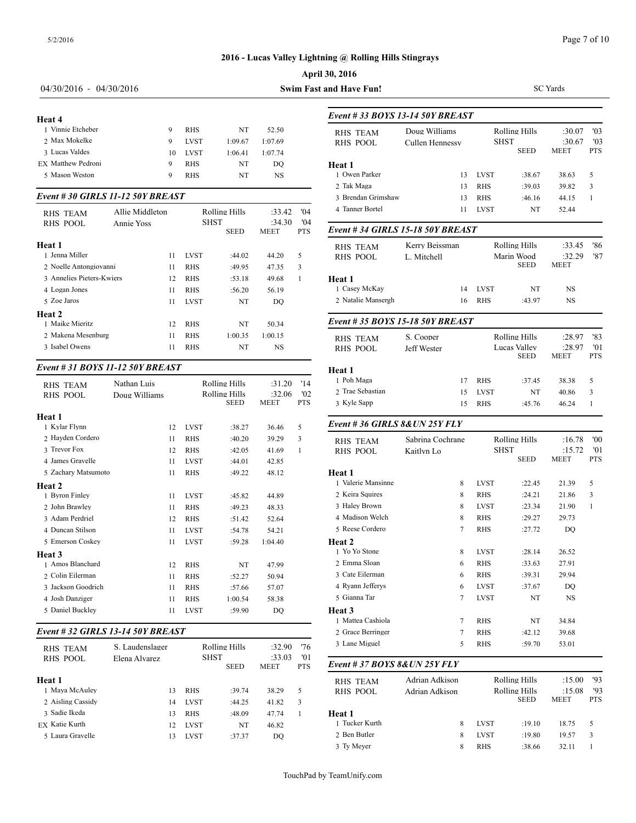|                                   |                   |          |                          |                      |                       |                   | April 30, 2016                     |                         |
|-----------------------------------|-------------------|----------|--------------------------|----------------------|-----------------------|-------------------|------------------------------------|-------------------------|
| 04/30/2016 - 04/30/2016           |                   |          |                          |                      |                       |                   | <b>Swim Fast and Have Fun!</b>     |                         |
| Heat 4                            |                   |          |                          |                      |                       |                   | Event # 33 BOYS 13-14 50Y          |                         |
| 1 Vinnie Etcheber                 |                   | 9        | <b>RHS</b>               | NT                   | 52.50                 |                   | <b>RHS TEAM</b>                    | Doug Will               |
| 2 Max Mokelke                     |                   | 9        | <b>LVST</b>              | 1:09.67              | 1:07.69               |                   | <b>RHS POOL</b>                    | Cullen He               |
| 3 Lucas Valdes                    |                   | 10       | <b>LVST</b>              | 1:06.41              | 1:07.74               |                   |                                    |                         |
| EX Matthew Pedroni                |                   | 9        | <b>RHS</b>               | NT                   | DO                    |                   | Heat 1                             |                         |
| 5 Mason Weston                    |                   | 9        | <b>RHS</b>               | NT                   | <b>NS</b>             |                   | 1 Owen Parker                      |                         |
| Event # 30 GIRLS 11-12 50Y BREAST |                   |          |                          |                      |                       |                   | 2 Tak Maga<br>3 Brendan Grimshaw   |                         |
| <b>RHS TEAM</b>                   | Allie Middleton   |          |                          | <b>Rolling Hills</b> | :33.42                | '04               | 4 Tanner Bortel                    |                         |
| <b>RHS POOL</b>                   | <b>Annie Yoss</b> |          | <b>SHST</b>              | <b>SEED</b>          | :34.30<br><b>MEET</b> | '04<br><b>PTS</b> | Event # 34 GIRLS 15-18 50Y         |                         |
| Heat 1<br>1 Jenna Miller          |                   | 11       | <b>LVST</b>              | :44.02               | 44.20                 | 5                 | <b>RHS TEAM</b><br><b>RHS POOL</b> | Kerry Bei<br>L. Mitchel |
| 2 Noelle Antongiovanni            |                   | 11       | <b>RHS</b>               | :49.95               | 47.35                 | 3                 |                                    |                         |
| 3 Annelies Pieters-Kwiers         |                   | 12       | <b>RHS</b>               | :53.18               | 49.68                 | $\mathbf{1}$      | Heat 1                             |                         |
| 4 Logan Jones                     |                   | 11       | <b>RHS</b>               | :56.20               | 56.19                 |                   | 1 Casey McKay                      |                         |
| 5 Zoe Jaros                       |                   | 11       | <b>LVST</b>              | NT                   | DO                    |                   | 2 Natalie Mansergh                 |                         |
| Heat 2<br>1 Maike Mieritz         |                   |          |                          |                      |                       |                   | Event #35 BOYS 15-18 50Y           |                         |
| 2 Makena Mesenburg                |                   | 12<br>11 | <b>RHS</b><br><b>RHS</b> | NT<br>1:00.35        | 50.34<br>1:00.15      |                   |                                    |                         |
| 3 Isabel Owens                    |                   | 11       | <b>RHS</b>               | NT                   | <b>NS</b>             |                   | <b>RHS TEAM</b><br><b>RHS POOL</b> | S. Cooper<br>Jeff Weste |
| Event # 31 BOYS 11-12 50Y BREAST  |                   |          |                          |                      |                       |                   | Heat 1                             |                         |
| <b>RHS TEAM</b>                   | Nathan Luis       |          |                          | Rolling Hills        | :31.20                | '14               | 1 Poh Maga                         |                         |
| RHS POOL                          | Doug Williams     |          |                          | Rolling Hills        | :32.06                | '02               | 2 Trae Sebastian                   |                         |
|                                   |                   |          |                          | <b>SEED</b>          | <b>MEET</b>           | <b>PTS</b>        | 3 Kyle Sapp                        |                         |
| Heat 1<br>1 Kylar Flynn           |                   | 12       | <b>LVST</b>              | :38.27               | 36.46                 | 5                 | Event # 36 GIRLS 8& UN 251         |                         |
| 2 Hayden Cordero                  |                   | 11       | <b>RHS</b>               | :40.20               | 39.29                 | 3                 |                                    | Sabrina C               |
| 3 Trevor Fox                      |                   | 12       | <b>RHS</b>               | :42.05               | 41.69                 | $\mathbf{1}$      | <b>RHS TEAM</b><br><b>RHS POOL</b> | Kaitlyn Lo              |
| 4 James Gravelle                  |                   | 11       | <b>LVST</b>              | :44.01               | 42.85                 |                   |                                    |                         |
| 5 Zachary Matsumoto               |                   | 11       | <b>RHS</b>               | :49.22               | 48.12                 |                   | Heat 1                             |                         |
| Heat 2                            |                   |          |                          |                      |                       |                   | 1 Valerie Mansinne                 |                         |
| 1 Byron Finley                    |                   | 11       | <b>LVST</b>              | :45.82               | 44.89                 |                   | 2 Keira Squires                    |                         |
| 2 John Brawley                    |                   | 11       | <b>RHS</b>               | :49.23               | 48.33                 |                   | 3 Haley Brown                      |                         |
| 3 Adam Perdriel                   |                   | 12       | <b>RHS</b>               | :51.42               | 52.64                 |                   | 4 Madison Welch                    |                         |
| 4 Duncan Stilson                  |                   | 11       | <b>LVST</b>              | :54.78               | 54.21                 |                   | 5 Reese Cordero                    |                         |
| 5 Emerson Coskey                  |                   | 11       | <b>LVST</b>              | :59.28               | 1:04.40               |                   | Heat 2                             |                         |
| Heat 3                            |                   |          |                          |                      |                       |                   | 1 Yo Yo Stone                      |                         |
|                                   |                   |          |                          |                      |                       |                   |                                    |                         |

| 1 Byron Finley                    | 11              | <b>LVST</b> | :45.82  | 44.89   | 2 Keira Squires  |
|-----------------------------------|-----------------|-------------|---------|---------|------------------|
| 2 John Brawley                    | 11              | <b>RHS</b>  | :49.23  | 48.33   | 3 Haley Brown    |
| 3 Adam Perdriel                   | 12              | <b>RHS</b>  | : 51.42 | 52.64   | 4 Madison Welc   |
| 4 Duncan Stilson                  | 11              | <b>LVST</b> | :54.78  | 54.21   | 5 Reese Cordero  |
| 5 Emerson Coskev                  | 11              | <b>LVST</b> | :59.28  | 1:04.40 | Heat 2           |
| <b>Heat 3</b>                     |                 |             |         |         | 1 Yo Yo Stone    |
| 1 Amos Blanchard                  | 12              | <b>RHS</b>  | NT      | 47.99   | 2 Emma Sloan     |
| 2 Colin Eilerman                  | 11              | <b>RHS</b>  | :52.27  | 50.94   | 3 Cate Eilerman  |
| 3 Jackson Goodrich                | 11              | <b>RHS</b>  | :57.66  | 57.07   | 4 Ryann Jeffery: |
| 4 Josh Danziger                   | 11              | <b>RHS</b>  | 1:00.54 | 58.38   | 5 Gianna Tar     |
| 5 Daniel Buckley                  | 11              | <b>LVST</b> | :59.90  | DO      | Heat 3           |
|                                   |                 |             |         |         | 1 Mattea Cashic  |
| Event # 32 GIRLS 13-14 50Y BREAST | 2 Grace Berring |             |         |         |                  |
|                                   |                 |             |         |         | a Long Missel    |

| <b>RHS TEAM</b>   | S. Laudenslager |    |             | Rolling Hills | :32.90                | '76               | 3 Lane Miguel    |
|-------------------|-----------------|----|-------------|---------------|-----------------------|-------------------|------------------|
| RHS POOL          | Elena Alvarez   |    | <b>SHST</b> | <b>SEED</b>   | :33.03<br><b>MEET</b> | '01<br><b>PTS</b> | Event # $37 BOY$ |
| Heat 1            |                 |    |             |               |                       |                   | RHS TEAM         |
| 1 Maya McAuley    |                 | 13 | <b>RHS</b>  | :39.74        | 38.29                 | 5                 | <b>RHS POOL</b>  |
| 2 Aisling Cassidy |                 | 14 | <b>LVST</b> | :44.25        | 41.82                 | 3                 |                  |
| 3 Sadie Ikeda     |                 | 13 | <b>RHS</b>  | :48.09        | 47.74                 |                   | Heat 1           |
| EX Katie Kurth    |                 | 12 | <b>LVST</b> | NT            | 46.82                 |                   | 1 Tucker Kurth   |
| 5 Laura Gravelle  |                 | 13 | <b>LVST</b> | :37.37        | DO                    |                   | 2 Ben Butler     |
|                   |                 |    |             |               |                       |                   |                  |

| st and Have Fun!                 |                  |                   |             |                      | <b>SC</b> Yards       |                   |
|----------------------------------|------------------|-------------------|-------------|----------------------|-----------------------|-------------------|
| Event # 33 BOYS 13-14 50Y BREAST |                  |                   |             |                      |                       |                   |
| <b>RHS TEAM</b>                  | Doug Williams    |                   |             | <b>Rolling Hills</b> | :30.07                | '03               |
| <b>RHS POOL</b>                  | Cullen Hennessy  |                   | SHST        | <b>SEED</b>          | :30.67<br><b>MEET</b> | '03<br><b>PTS</b> |
| <b>Heat 1</b>                    |                  |                   |             |                      |                       |                   |
| 1 Owen Parker                    |                  | 13<br><b>LVST</b> |             | :38.67               | 38.63                 | 5                 |
| 2 Tak Maga                       |                  | <b>RHS</b><br>13  |             | :39.03               | 39.82                 | 3                 |
| 3 Brendan Grimshaw               |                  | 13<br><b>RHS</b>  |             | :46.16               | 44.15                 | $\mathbf{1}$      |
| 4 Tanner Bortel                  | 11               | <b>LVST</b>       |             | NT                   | 52.44                 |                   |
| Event #34 GIRLS 15-18 50Y BREAST |                  |                   |             |                      |                       |                   |
| <b>RHS TEAM</b>                  | Kerry Beissman   |                   |             | <b>Rolling Hills</b> | :33.45                | '86               |
| <b>RHS POOL</b>                  | L. Mitchell      |                   |             | Marin Wood           | :32.29                | '87               |
|                                  |                  |                   |             | <b>SEED</b>          | MEET                  |                   |
| Heat 1<br>1 Casey McKay          |                  | 14<br><b>LVST</b> |             |                      |                       |                   |
| 2 Natalie Mansergh               |                  |                   |             | NT                   | NS                    |                   |
|                                  |                  | 16<br><b>RHS</b>  |             | :43.97               | NS                    |                   |
| Event #35 BOYS 15-18 50Y BREAST  |                  |                   |             |                      |                       |                   |
| <b>RHS TEAM</b>                  | S. Cooper        |                   |             | <b>Rolling Hills</b> | :28.97                | '83               |
| <b>RHS POOL</b>                  | Jeff Wester      |                   |             | Lucas Valley         | :28.97                | '01               |
|                                  |                  |                   |             | <b>SEED</b>          | MEET                  | <b>PTS</b>        |
| Heat 1                           |                  |                   |             |                      |                       |                   |
| 1 Poh Maga                       |                  | 17<br><b>RHS</b>  |             | :37.45               | 38.38                 | 5                 |
| 2 Trae Sebastian                 |                  | 15<br><b>LVST</b> |             | NT                   | 40.86                 | 3                 |
| 3 Kyle Sapp                      |                  | 15<br><b>RHS</b>  |             | :45.76               | 46.24                 | $\mathbf{1}$      |
| Event #36 GIRLS 8&UN 25Y FLY     |                  |                   |             |                      |                       |                   |
| <b>RHS TEAM</b>                  | Sabrina Cochrane |                   |             | Rolling Hills        | :16.78                | '00               |
| <b>RHS POOL</b>                  | Kaitlyn Lo       |                   | <b>SHST</b> |                      | :15.72                | '01               |
|                                  |                  |                   |             | <b>SEED</b>          | <b>MEET</b>           | <b>PTS</b>        |
| <b>Heat 1</b>                    |                  |                   |             |                      |                       |                   |
| 1 Valerie Mansinne               | 8                | <b>LVST</b>       |             | :22.45               | 21.39                 | 5                 |
| 2 Keira Squires                  | 8                | <b>RHS</b>        |             | :24.21               | 21.86                 | 3                 |
| 3 Haley Brown                    | 8                | <b>LVST</b>       |             | : 23.34              | 21.90                 | $\mathbf{1}$      |
| 4 Madison Welch                  | 8                | <b>RHS</b>        |             | :29.27               | 29.73                 |                   |
| 5 Reese Cordero                  | 7                | <b>RHS</b>        |             | :27.72               | DO                    |                   |
| Heat 2                           |                  |                   |             |                      |                       |                   |
| 1 Yo Yo Stone                    | 8                | <b>LVST</b>       |             | :28.14               | 26.52                 |                   |
| 2 Emma Sloan                     | 6                | <b>RHS</b>        |             | :33.63               | 27.91                 |                   |
| 3 Cate Eilerman                  | 6                | <b>RHS</b>        |             | :39.31               | 29.94                 |                   |
| 4 Ryann Jefferys                 | 6                | <b>LVST</b>       |             | :37.67               | DQ                    |                   |
| 5 Gianna Tar                     | 7                | <b>LVST</b>       |             | NT                   | NS                    |                   |
| Heat 3                           |                  |                   |             |                      |                       |                   |
| 1 Mattea Cashiola                | 7                | <b>RHS</b>        |             | NT                   | 34.84                 |                   |
| 2 Grace Berringer                | 7                | <b>RHS</b>        |             | :42.12               | 39.68                 |                   |
| 3 Lane Miguel                    | 5                | RHS               |             | :59.70               | 53.01                 |                   |
| Event # 37 BOYS 8& UN 25Y FLY    |                  |                   |             |                      |                       |                   |
| <b>RHS TEAM</b>                  | Adrian Adkison   |                   |             | <b>Rolling Hills</b> | :15.00                | '93               |
| <b>RHS POOL</b>                  | Adrian Adkison   |                   |             | <b>Rolling Hills</b> | :15.08                | '93               |
|                                  |                  |                   |             | <b>SEED</b>          | MEET                  | <b>PTS</b>        |
| Heat 1                           |                  |                   |             |                      |                       |                   |
| 1 Tucker Kurth                   | 8                | LVST              |             | :19.10               | 18.75                 | 5                 |
| 2 Ben Butler                     | 8                | LVST              |             | :19.80               | 19.57                 | 3                 |
| 3 Ty Meyer                       | 8                | RHS               |             | :38.66               | 32.11                 | $\mathbf{1}$      |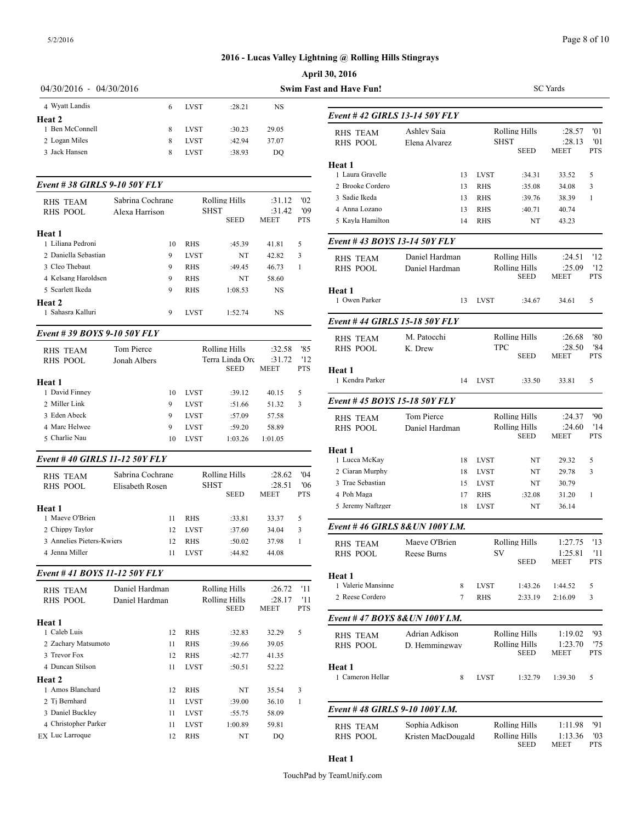|                                   |                  |              |                      |                  |              | <b>April 30, 2016</b>                |                      |
|-----------------------------------|------------------|--------------|----------------------|------------------|--------------|--------------------------------------|----------------------|
| 04/30/2016 - 04/30/2016           |                  |              |                      |                  |              | <b>Swim Fast and Have Fun!</b>       |                      |
| 4 Wyatt Landis                    | 6                | <b>LVST</b>  | :28.21               | NS               |              |                                      |                      |
| Heat 2                            |                  |              |                      |                  |              | Event # 42 GIRLS 13-14 50Y           |                      |
| 1 Ben McConnell                   | 8                | <b>LVST</b>  | :30.23               | 29.05            |              | <b>RHS TEAM</b>                      | Ashley Sa            |
| 2 Logan Miles                     | 8                | <b>LVST</b>  | :42.94               | 37.07            |              | <b>RHS POOL</b>                      | Elena Alva           |
| 3 Jack Hansen                     | 8                | <b>LVST</b>  | :38.93               | DQ               |              |                                      |                      |
|                                   |                  |              |                      |                  |              | Heat 1                               |                      |
| Event #38 GIRLS 9-10 50Y FLY      |                  |              |                      |                  |              | 1 Laura Gravelle<br>2 Brooke Cordero |                      |
|                                   |                  |              |                      |                  |              | 3 Sadie Ikeda                        |                      |
| RHS TEAM<br><b>RHS POOL</b>       | Sabrina Cochrane | <b>SHST</b>  | Rolling Hills        | :31.12<br>:31.42 | '02<br>'09   | 4 Anna Lozano                        |                      |
|                                   | Alexa Harrison   |              | <b>SEED</b>          | <b>MEET</b>      | <b>PTS</b>   | 5 Kayla Hamilton                     |                      |
| Heat 1                            |                  |              |                      |                  |              |                                      |                      |
| 1 Liliana Pedroni                 | 10               | <b>RHS</b>   | :45.39               | 41.81            | 5            | <b>Event # 43 BOYS 13-14 50Y</b>     |                      |
| 2 Daniella Sebastian              | 9                | <b>LVST</b>  | NT                   | 42.82            | 3            | <b>RHS TEAM</b>                      | Daniel Ha            |
| 3 Cleo Thebaut                    | 9                | RHS          | :49.45               | 46.73            | 1            | RHS POOL                             | Daniel Ha            |
| 4 Kelsang Haroldsen               | 9                | RHS          | NT                   | 58.60            |              |                                      |                      |
| 5 Scarlett Ikeda                  | 9                | <b>RHS</b>   | 1:08.53              | NS               |              | Heat 1                               |                      |
| Heat 2                            |                  |              |                      |                  |              | 1 Owen Parker                        |                      |
| 1 Sahasra Kalluri                 | 9                | <b>LVST</b>  | 1:52.74              | NS               |              | Event #44 GIRLS 15-18 50Y            |                      |
| Event # 39 BOYS 9-10 50Y FLY      |                  |              |                      |                  |              |                                      |                      |
| <b>RHS TEAM</b>                   | Tom Pierce       |              | Rolling Hills        | :32.58           | '85          | RHS TEAM<br>RHS POOL                 | M. Patocc<br>K. Drew |
| RHS POOL                          | Jonah Albers     |              | Terra Linda Orc      | :31.72           | '12          |                                      |                      |
|                                   |                  |              | <b>SEED</b>          | <b>MEET</b>      | <b>PTS</b>   | Heat 1                               |                      |
| Heat 1                            |                  |              |                      |                  |              | 1 Kendra Parker                      |                      |
| 1 David Finney                    | 10               | <b>LVST</b>  | :39.12               | 40.15            | 5            |                                      |                      |
| 2 Miller Link                     | 9                | <b>LVST</b>  | :51.66               | 51.32            | 3            | <b>Event #45 BOYS 15-18 50Y</b>      |                      |
| 3 Eden Abeck                      | 9                | <b>LVST</b>  | :57.09               | 57.58            |              | RHS TEAM                             | Tom Pierc            |
| 4 Marc Helwee                     | 9                | <b>LVST</b>  | :59.20               | 58.89            |              | <b>RHS POOL</b>                      | Daniel Ha            |
| 5 Charlie Nau                     | 10               | <b>LVST</b>  | 1:03.26              | 1:01.05          |              |                                      |                      |
| Event #40 GIRLS 11-12 50Y FLY     |                  |              |                      |                  |              | Heat 1<br>1 Lucca McKay              |                      |
| <b>RHS TEAM</b>                   | Sabrina Cochrane |              | <b>Rolling Hills</b> | :28.62           | '04          | 2 Ciaran Murphy                      |                      |
| <b>RHS POOL</b>                   | Elisabeth Rosen  | SHST         |                      | :28.51           | '06          | 3 Trae Sebastian                     |                      |
|                                   |                  |              | <b>SEED</b>          | <b>MEET</b>      | <b>PTS</b>   | 4 Poh Maga                           |                      |
| <b>Heat 1</b>                     |                  |              |                      |                  |              | 5 Jeremy Naftzger                    |                      |
| 1 Maeve O'Brien                   | 11               | <b>RHS</b>   | :33.81               | 33.37            | 5            |                                      |                      |
| 2 Chippy Taylor                   | 12               | <b>LVST</b>  | :37.60               | 34.04            | 3            | Event #46 GIRLS 8& UN 100            |                      |
| 3 Annelies Pieters-Kwiers         | 12               | RHS          | :50.02               | 37.98            | $\mathbf{1}$ | <b>RHS TEAM</b>                      | Maeve O'l            |
| 4 Jenna Miller                    | 11               | <b>LVST</b>  | :44.82               | 44.08            |              | RHS POOL                             | Reese Bur            |
| Event #41 BOYS 11-12 50Y FLY      |                  |              |                      |                  |              | Heat 1                               |                      |
| <b>RHS TEAM</b>                   | Daniel Hardman   |              | <b>Rolling Hills</b> | :26.72           | '11          | 1 Valerie Mansinne                   |                      |
| RHS POOL                          | Daniel Hardman   |              | Rolling Hills        | :28.17           | '11          | 2 Reese Cordero                      |                      |
|                                   |                  |              | SEED                 | MEET             | <b>PTS</b>   |                                      |                      |
| Heat 1                            |                  |              |                      |                  |              | Event #47 BOYS 8& UN 100             |                      |
| 1 Caleb Luis                      | 12               | RHS          | :32.83               | 32.29            | 5            | <b>RHS TEAM</b>                      | Adrian Ad            |
| 2 Zachary Matsumoto               | 11               | RHS          | :39.66               | 39.05            |              | RHS POOL                             | D. Hemmi             |
| 3 Trevor Fox                      | 12               | RHS          | :42.77               | 41.35            |              |                                      |                      |
| 4 Duncan Stilson                  | 11               | <b>LVST</b>  | :50.51               | 52.22            |              | Heat 1<br>1 Cameron Hellar           |                      |
| Heat 2                            |                  |              |                      |                  |              |                                      |                      |
| 1 Amos Blanchard<br>2 Tj Bernhard | 12               | RHS          | NT                   | 35.54            | 3            |                                      |                      |
| 3 Daniel Buckley                  | 11<br>11         | <b>LVST</b>  | :39.00               | 36.10<br>58.09   | 1            | Event #48 GIRLS 9-10 100Y            |                      |
| 4 Christopher Parker              | 11               | LVST<br>LVST | :55.75<br>1:00.89    | 59.81            |              |                                      | Sophia Ad            |
| EX Luc Larroque                   | 12               | RHS          | NT                   | DQ               |              | <b>RHS TEAM</b><br>RHS POOL          | Kristen M            |
|                                   |                  |              |                      |                  |              |                                      |                      |

| <b>nd Have Fun!</b>                |                              |             |                              | <b>SC</b> Yards          |                          |
|------------------------------------|------------------------------|-------------|------------------------------|--------------------------|--------------------------|
| Event #42 GIRLS 13-14 50Y FLY      |                              |             |                              |                          |                          |
| <b>RHS TEAM</b><br><b>RHS POOL</b> | Ashley Saia<br>Elena Alvarez | SHST        | Rolling Hills<br><b>SEED</b> | :28.57<br>:28.13<br>MEET | '01<br>'01<br><b>PTS</b> |
| Heat 1                             |                              |             |                              |                          |                          |
| 1 Laura Gravelle                   | 13                           | LVST        | :34.31                       | 33.52                    | 5                        |
| 2 Brooke Cordero                   | 13                           | <b>RHS</b>  | :35.08                       | 34.08                    | 3                        |
| 3 Sadie Ikeda                      | 13                           | <b>RHS</b>  | :39.76                       | 38.39                    | 1                        |
| 4 Anna Lozano                      | 13                           | <b>RHS</b>  | :40.71                       | 40.74                    |                          |
| 5 Kayla Hamilton                   | 14                           | <b>RHS</b>  | NT                           | 43.23                    |                          |
| Event # 43 BOYS 13-14 50Y FLY      |                              |             |                              |                          |                          |
| <b>RHS TEAM</b>                    | Daniel Hardman               |             | Rolling Hills                | :24.51                   | '12                      |
| <b>RHS POOL</b>                    | Daniel Hardman               |             | Rolling Hills                | :25.09                   | '12                      |
|                                    |                              |             | <b>SEED</b>                  | MEET                     | PTS                      |
| Heat 1<br>1 Owen Parker            | 13                           | <b>LVST</b> | :34.67                       | 34.61                    | 5                        |
| Event # 44 GIRLS 15-18 50Y FLY     |                              |             |                              |                          |                          |
| <b>RHS TEAM</b>                    | M. Patocchi                  |             | <b>Rolling Hills</b>         | :26.68                   | '80                      |
| <b>RHS POOL</b>                    | K. Drew                      | <b>TPC</b>  |                              | :28.50                   | '84                      |
|                                    |                              |             | <b>SEED</b>                  | MEET                     | <b>PTS</b>               |
| <b>Heat 1</b><br>1 Kendra Parker   | 14                           | <b>LVST</b> | :33.50                       | 33.81                    | 5                        |
| Event # 45 BOYS 15-18 50Y FLY      |                              |             |                              |                          |                          |
| <b>RHS TEAM</b>                    | Tom Pierce                   |             | Rolling Hills                | :24.37                   | '90                      |
| <b>RHS POOL</b>                    | Daniel Hardman               |             | Rolling Hills                | :24.60                   | '14                      |
|                                    |                              |             | <b>SEED</b>                  | <b>MEET</b>              | <b>PTS</b>               |
| Heat 1                             |                              |             |                              |                          |                          |
| 1 Lucca McKay                      | 18                           | <b>LVST</b> | NT                           | 29.32                    | 5                        |
| 2 Ciaran Murphy                    | 18                           | <b>LVST</b> | NT                           | 29.78                    | 3                        |
| 3 Trae Sebastian                   | 15                           | <b>LVST</b> | NT                           | 30.79                    |                          |
| 4 Poh Maga                         | 17                           | RHS         | :32.08                       | 31.20                    | 1                        |
| 5 Jeremy Naftzger                  | 18                           | <b>LVST</b> | NT                           | 36.14                    |                          |
| Event #46 GIRLS 8& UN 100Y I.M.    |                              |             |                              |                          |                          |
| <b>RHS TEAM</b>                    | Maeve O'Brien                |             | Rolling Hills                | 1:27.75                  | '13                      |
| <b>RHS POOL</b>                    | Reese Burns                  | SV          |                              | 1:25.81                  | - '11                    |
|                                    |                              |             | SEED                         | MEET                     | <b>PTS</b>               |
| Heat 1                             |                              |             |                              |                          |                          |
| 1 Valerie Mansinne                 | 8                            | LVST        | 1:43.26                      | 1:44.52                  | 5                        |
| 2 Reese Cordero                    | 7                            | RHS         | 2:33.19                      | 2:16.09                  | 3                        |
| Event # 47 BOYS 8& UN 100Y I.M.    |                              |             |                              |                          |                          |
| <b>RHS TEAM</b>                    | Adrian Adkison               |             | Rolling Hills                | 1:19.02                  | '93                      |
| <b>RHS POOL</b>                    | D. Hemmingway                |             | Rolling Hills                | 1:23.70                  | '75                      |
|                                    |                              |             | <b>SEED</b>                  | MEET                     | PTS                      |
| Heat 1                             |                              |             |                              |                          |                          |
| 1 Cameron Hellar                   | 8                            | LVST        | 1:32.79                      | 1:39.30                  | 5                        |
| Event #48 GIRLS 9-10 100Y I.M.     |                              |             |                              |                          |                          |
|                                    | Sophia Adkison               |             | Rolling Hills                |                          | '91                      |
| <b>RHS TEAM</b><br>RHS POOL        |                              |             | <b>Rolling Hills</b>         | 1:11.98<br>1:13.36       | '03                      |
|                                    | Kristen MacDougald           |             | <b>SEED</b>                  | MEET                     | PTS                      |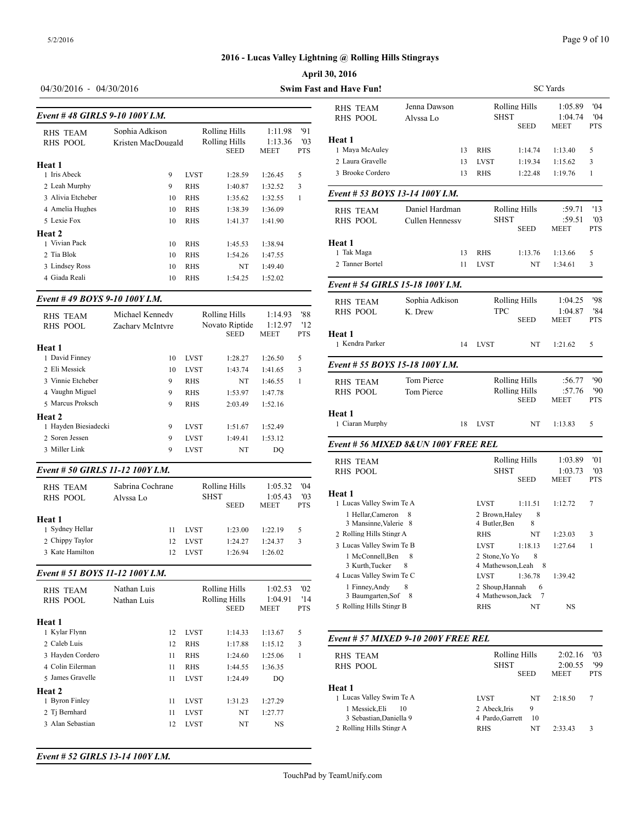#### Page 9 of 10

SC Yards

 ${\sf MEET}$ 

#### **2016 - Lucas Valley Lightning @ Rolling Hills Stingrays**

### **April 30, 2016**

# 04/30/2016 - 04/30/2016 **Swim Fast and Have Fun!**

| Event #48 GIRLS 9-10 100Y I.M. |                                      |             |                                               |                            |                                     | <b>RHS POOL</b>                                     |
|--------------------------------|--------------------------------------|-------------|-----------------------------------------------|----------------------------|-------------------------------------|-----------------------------------------------------|
| <b>RHS TEAM</b><br>RHS POOL    | Sophia Adkison<br>Kristen MacDougald |             | Rolling Hills<br>Rolling Hills<br><b>SEED</b> | 1:11.98<br>1:13.36<br>MEET | '91<br>$^{\prime}$ 03<br><b>PTS</b> | <b>Heat 1</b><br>1 Maya McAuley<br>2 Laura Gravelle |
| Heat 1<br>1 Iris Abeck         |                                      |             |                                               |                            |                                     | 3 Brooke Cordero                                    |
|                                | 9                                    | <b>LVST</b> | 1:28.59                                       | 1:26.45                    | 5                                   |                                                     |
| 2 Leah Murphy                  | 9                                    | <b>RHS</b>  | 1:40.87                                       | 1:32.52                    | 3                                   | Event # 53 BOY                                      |
| 3 Alivia Etcheber              | 10                                   | <b>RHS</b>  | 1:35.62                                       | 1:32.55                    | 1                                   |                                                     |
| 4 Amelia Hughes                | 10                                   | <b>RHS</b>  | 1:38.39                                       | 1:36.09                    |                                     | <b>RHS TEAM</b>                                     |
| 5 Lexie Fox                    | 10                                   | <b>RHS</b>  | 1:41.37                                       | 1:41.90                    |                                     | <b>RHS POOL</b>                                     |
| Heat 2                         |                                      |             |                                               |                            |                                     |                                                     |
| 1 Vivian Pack                  | 10                                   | <b>RHS</b>  | 1:45.53                                       | 1:38.94                    |                                     | Heat 1                                              |
| 2 Tia Blok                     | 10                                   | <b>RHS</b>  | 1:54.26                                       | 1:47.55                    |                                     | 1 Tak Maga                                          |
| 3 Lindsey Ross                 | 10                                   | <b>RHS</b>  | NT                                            | 1:49.40                    |                                     | 2 Tanner Bortel                                     |
| 4 Giada Reali                  | 10                                   | RHS         | 1:54.25                                       | 1:52.02                    |                                     | Event # 54 GIRI                                     |

#### *Event # 49 BOYS 9-10 100Y I.M.*

| <b>RHS TEAM</b>      | Michael Kennedy  |             | Rolling Hills                 | 1:14.93         | '88               | RHS POOL         |
|----------------------|------------------|-------------|-------------------------------|-----------------|-------------------|------------------|
| <b>RHS POOL</b>      | Zachary McIntyre |             | Novato Riptide<br><b>SEED</b> | 1:12.97<br>MEET | '12<br><b>PTS</b> | Heat 1           |
| Heat 1               |                  |             |                               |                 |                   | 1 Kendra Parker  |
| 1 David Finney       | 10               | <b>LVST</b> | 1:28.27                       | 1:26.50         | 5                 |                  |
| 2 Eli Messick        | 10               | <b>LVST</b> | 1:43.74                       | 1:41.65         | 3                 | Event # 55 $BOY$ |
| 3 Vinnie Etcheber    | 9                | <b>RHS</b>  | NT                            | 1:46.55         | 1                 | <b>RHS TEAM</b>  |
| 4 Vaughn Miguel      | 9                | <b>RHS</b>  | 1:53.97                       | 1:47.78         |                   | RHS POOL         |
| 5 Marcus Proksch     | 9                | <b>RHS</b>  | 2:03.49                       | 1:52.16         |                   |                  |
| Heat 2               |                  |             |                               |                 |                   | Heat 1           |
| 1 Havden Biesiadecki | 9                | <b>LVST</b> | 1:51.67                       | 1:52.49         |                   | 1 Ciaran Murphy  |
| 2. Soren Jessen      | 9                | <b>LVST</b> | 1:49.41                       | 1:53.12         |                   |                  |
| 3 Miller Link        | 9                | <b>LVST</b> | NT                            | DO.             |                   | Event # 56 MIX   |
|                      |                  |             |                               |                 |                   |                  |

#### *Event # 50 GIRLS 11-12 100Y I.M.*

| <b>RHS TEAM</b><br><b>RHS POOL</b> | Sabrina Cochrane<br>Alvssa Lo | <b>SHST</b> | Rolling Hills<br><b>SEED</b> | 1:05.32<br>1:05.43<br><b>MEET</b> | '04<br>'03<br><b>PTS</b> | <b>Heat 1</b><br>1 Lucas Valley Sw |
|------------------------------------|-------------------------------|-------------|------------------------------|-----------------------------------|--------------------------|------------------------------------|
| Heat 1                             |                               |             |                              |                                   |                          | 1 Hellar, Camer<br>3 Mansinne, Va  |
| 1 Sydney Hellar                    | 11                            | <b>LVST</b> | 1:23.00                      | 1:22.19                           | 5                        | 2 Rolling Hills Sti                |
| 2 Chippy Taylor                    | 12                            | <b>LVST</b> | 1:24.27                      | 1:24.37                           | 3                        | 3 Lucas Valley Sw                  |
| 3 Kate Hamilton                    | 12                            | <b>LVST</b> | 1:26.94                      | 1:26.02                           |                          | 1 McConnell.E                      |

#### *Event # 51 BOYS 11-12 100Y I.M.*

| <b>RHS TEAM</b><br><b>RHS POOL</b> | Nathan Luis<br>Nathan Luis |    |             | Rolling Hills<br>Rolling Hills<br><b>SEED</b> | 1:02.53<br>1:04.91<br><b>MEET</b> | '02<br>'14<br><b>PTS</b> | 1 Finney, Andy<br>3 Baumgarten,<br>5 Rolling Hills Sti |
|------------------------------------|----------------------------|----|-------------|-----------------------------------------------|-----------------------------------|--------------------------|--------------------------------------------------------|
| Heat 1                             |                            |    |             |                                               |                                   |                          |                                                        |
| 1 Kylar Flynn                      |                            | 12 | <b>LVST</b> | 1:14.33                                       | 1:13.67                           | 5                        |                                                        |
| 2 Caleb Luis                       |                            | 12 | <b>RHS</b>  | 1:17.88                                       | 1:15.12                           | 3                        | Event # $57$ MIX                                       |
| 3 Hayden Cordero                   |                            | 11 | <b>RHS</b>  | 1:24.60                                       | 1:25.06                           | 1                        | <b>RHS TEAM</b>                                        |
| 4 Colin Eilerman                   |                            | 11 | <b>RHS</b>  | 1:44.55                                       | 1:36.35                           |                          | <b>RHS POOL</b>                                        |
| 5 James Gravelle                   |                            | 11 | <b>LVST</b> | 1:24.49                                       | DO                                |                          |                                                        |
| <b>Heat 2</b>                      |                            |    |             |                                               |                                   |                          | Heat 1                                                 |
| 1 Byron Finley                     |                            | 11 | <b>LVST</b> | 1:31.23                                       | 1:27.29                           |                          | 1 Lucas Valley Sw                                      |
| 2 Ti Bernhard                      |                            | 11 | <b>LVST</b> | NT                                            | 1:27.77                           |                          | 1 Messick, Eli                                         |
| 3 Alan Sebastian                   |                            | 12 | <b>LVST</b> | NT                                            | NS                                |                          | 3 Sebastian, Da<br>2 Rolling Hills Sti                 |

# SEED MEET PTS 1 Maya McAuley 13 RHS 1:14.74 1:13.40 5 RHS TEAM Jenna Dawson Rolling Hills 1:05.89 '04<br>RHS POOL Alyssa Lo SHST 1:04.74 '04 RHS\_POOL Alyssa Lo SHST 1:04.74 '04 **Heat 1** 2 Laura Gravelle 13 LVST 1:19.34 1:15.62 3 3 Brooke Cordero 13 RHS 1:22.48 1:19.76 1

| Event # 53 BOYS 13-14 100Y J.M.            |                                      |                                       |                      |                       |                   |
|--------------------------------------------|--------------------------------------|---------------------------------------|----------------------|-----------------------|-------------------|
| <b>RHS TEAM</b>                            | Daniel Hardman                       | Rolling Hills                         |                      | :59.71                | '13               |
| <b>RHS POOL</b>                            | Cullen Hennessy                      | <b>SHST</b>                           | SEED                 | :59.51<br>MEET        | '03<br><b>PTS</b> |
| Heat 1                                     |                                      |                                       |                      |                       |                   |
| 1 Tak Maga                                 | 13                                   | <b>RHS</b>                            | 1:13.76              | 1:13.66               | 5                 |
| 2 Tanner Bortel                            | 11                                   | <b>LVST</b>                           | NT                   | 1:34.61               | 3                 |
| Event # 54 GIRLS 15-18 100Y J.M.           |                                      |                                       |                      |                       |                   |
| <b>RHS TEAM</b>                            | Sophia Adkison                       |                                       | Rolling Hills        | 1:04.25               | '98               |
| RHS POOL                                   | K. Drew                              | <b>TPC</b>                            |                      | 1:04.87               | '84               |
|                                            |                                      |                                       | <b>SEED</b>          | <b>MEET</b>           | <b>PTS</b>        |
| <b>Heat 1</b><br>1 Kendra Parker           | 14                                   | <b>LVST</b>                           | NT                   | 1:21.62               | 5                 |
| Event # 55 BOYS 15-18 100Y I.M.            |                                      |                                       |                      |                       |                   |
|                                            |                                      |                                       |                      |                       |                   |
| <b>RHS TEAM</b>                            | Tom Pierce                           | Rolling Hills<br><b>Rolling Hills</b> |                      | :56.77                | '90               |
| <b>RHS POOL</b>                            | Tom Pierce                           |                                       | SEED                 | :57.76<br><b>MEET</b> | '90<br><b>PTS</b> |
| Heat 1                                     |                                      |                                       |                      |                       |                   |
| 1 Ciaran Murphy                            | 18                                   | <b>LVST</b>                           | NT                   | 1:13.83               | 5                 |
|                                            | Event # 56 MIXED 8& UN 100Y FREE REL |                                       |                      |                       |                   |
| <b>RHS TEAM</b>                            |                                      |                                       | <b>Rolling Hills</b> | 1:03.89               | '01               |
| <b>RHS POOL</b>                            |                                      | <b>SHST</b>                           |                      | 1:03.73               | '03               |
|                                            |                                      |                                       | <b>SEED</b>          | <b>MEET</b>           | <b>PTS</b>        |
| Heat 1                                     |                                      |                                       |                      |                       |                   |
| 1 Lucas Valley Swim Te A                   |                                      | <b>LVST</b>                           | 1:11.51              | 1:12.72               | 7                 |
| 1 Hellar, Cameron<br>3 Mansinne, Valerie 8 | 8                                    | 2 Brown, Haley<br>4 Butler, Ben       | 8<br>8               |                       |                   |
| 2 Rolling Hills Stingr A                   |                                      | <b>RHS</b>                            | NT                   | 1:23.03               | 3                 |
| 3 Lucas Valley Swim Te B                   |                                      | <b>LVST</b>                           | 1:18.13              | 1:27.64               | $\mathbf{1}$      |
| 1 McConnell, Ben                           | 8                                    | 2 Stone, Yo Yo                        | 8                    |                       |                   |
| 3 Kurth, Tucker                            | 8                                    | 4 Mathewson, Leah 8                   |                      |                       |                   |
| 4 Lucas Valley Swim Te C                   |                                      | <b>LVST</b>                           | 1:36.78              | 1:39.42               |                   |
| 1 Finney, Andy                             | 8                                    | 2 Shoup, Hannah                       | 6                    |                       |                   |
| 3 Baumgarten, Sof 8                        |                                      | 4 Mathewson, Jack                     | 7                    |                       |                   |
| 5 Rolling Hills Stingr B                   |                                      | <b>RHS</b>                            | NT                   | <b>NS</b>             |                   |

#### *Event # 57 MIXED 9-10 200Y FREE REL*

| RHS TEAM<br>RHS POOL     | Rolling Hills<br><b>SHST</b> | <b>SEED</b> | 2:02.16<br>2:00.55<br><b>MEET</b> | '03<br>'99<br><b>PTS</b> |
|--------------------------|------------------------------|-------------|-----------------------------------|--------------------------|
| Heat 1                   |                              |             |                                   |                          |
| 1 Lucas Valley Swim Te A | <b>LVST</b>                  | NT          | 2:18.50                           | 7                        |
| 1 Messick.Eli<br>10      | 2 Abeck.Iris                 | 9           |                                   |                          |
| 3 Sebastian, Daniella 9  | 4 Pardo.Garrett              | 10          |                                   |                          |
| 2 Rolling Hills Stingr A | <b>RHS</b>                   | NT          | 2:33.43                           | 3                        |

*Event # 52 GIRLS 13-14 100Y I.M.*